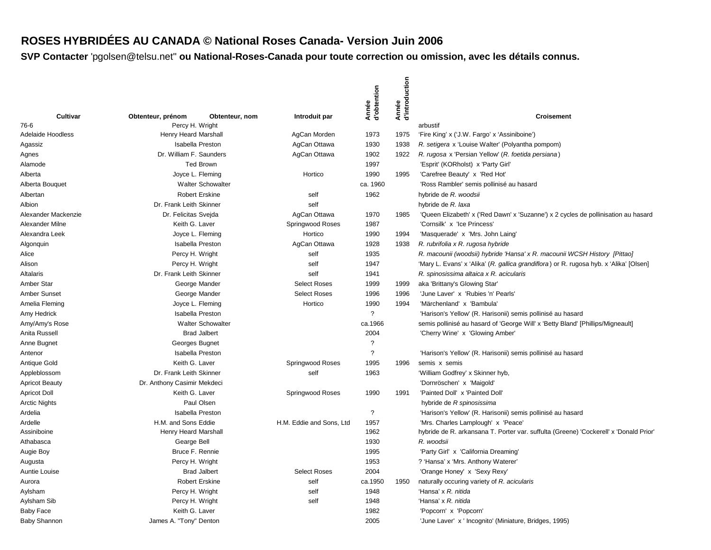# **ROSES HYBRIDÉES AU CANADA © National Roses Canada- Version Juin 2006**

|                               |                                             |                                             |                                            | Année<br>d'obtention     | Année<br>d'introduction |                                                                                                          |
|-------------------------------|---------------------------------------------|---------------------------------------------|--------------------------------------------|--------------------------|-------------------------|----------------------------------------------------------------------------------------------------------|
| Cultivar<br>76-6              | Obtenteur, prénom                           | Obtenteur, nom                              | Introduit par                              |                          |                         | <b>Croisement</b>                                                                                        |
| <b>Adelaide Hoodless</b>      | Percy H. Wright<br>Henry Heard Marshall     |                                             | AgCan Morden                               | 1973                     | 1975                    | arbustif<br>'Fire King' x ('J.W. Fargo' x 'Assiniboine')                                                 |
| Agassiz                       | <b>Isabella Preston</b>                     |                                             | AgCan Ottawa                               | 1930                     | 1938                    | R. setigera x 'Louise Walter' (Polyantha pompom)                                                         |
| Agnes                         | Dr. William F. Saunders                     |                                             | AgCan Ottawa                               | 1902                     | 1922                    | R. rugosa x 'Persian Yellow' (R. foetida persiana)                                                       |
| Alamode                       |                                             | <b>Ted Brown</b>                            |                                            | 1997                     |                         | 'Esprit' (KORholst) x 'Party Girl'                                                                       |
| Alberta                       | Joyce L. Fleming                            |                                             | Hortico                                    | 1990                     | 1995                    | 'Carefree Beauty' x 'Red Hot'                                                                            |
| Alberta Bouquet               |                                             | <b>Walter Schowalter</b>                    |                                            | ca. 1960                 |                         | 'Ross Rambler' semis pollinisé au hasard                                                                 |
|                               |                                             |                                             |                                            | 1962                     |                         |                                                                                                          |
| Albertan                      | Dr. Frank Leith Skinner                     | <b>Robert Erskine</b>                       | self<br>self                               |                          |                         | hybride de R. woodsii                                                                                    |
| Albion<br>Alexander Mackenzie | Dr. Felicitas Svejda                        |                                             | AgCan Ottawa                               | 1970                     | 1985                    | hybride de R. laxa<br>'Queen Elizabeth' x ('Red Dawn' x 'Suzanne') x 2 cycles de pollinisation au hasard |
| Alexander Milne               | Keith G. Laver                              |                                             |                                            |                          |                         | 'Cornsilk' x 'Ice Princess'                                                                              |
| Alexandra Leek                |                                             |                                             | Springwood Roses<br>Hortico                | 1987<br>1990             | 1994                    |                                                                                                          |
|                               | Joyce L. Fleming<br><b>Isabella Preston</b> |                                             | AgCan Ottawa                               | 1928                     | 1938                    | 'Masquerade' x 'Mrs. John Laing'                                                                         |
| Algonquin                     | Percy H. Wright                             |                                             | self                                       | 1935                     |                         | R. rubrifolia x R. rugosa hybride                                                                        |
| Alice                         |                                             |                                             | self                                       | 1947                     |                         | R. macounii (woodsii) hybride 'Hansa' x R. macounii WCSH History [Pittao]                                |
| Alison                        | Percy H. Wright                             |                                             | self                                       | 1941                     |                         | 'Mary L. Evans' x 'Alika' (R. gallica grandiflora) or R. rugosa hyb. x 'Alika' [Olsen]                   |
| Altalaris                     | Dr. Frank Leith Skinner                     |                                             |                                            |                          |                         | R. spinosissima altaica x R. acicularis                                                                  |
| Amber Star                    | George Mander                               |                                             | <b>Select Roses</b><br><b>Select Roses</b> | 1999                     | 1999                    | aka 'Brittany's Glowing Star'                                                                            |
| Amber Sunset                  | George Mander                               |                                             | Hortico                                    | 1996<br>1990             | 1996<br>1994            | 'June Laver' x 'Rubies 'n' Pearls'                                                                       |
| Amelia Fleming                |                                             | Joyce L. Fleming<br><b>Isabella Preston</b> |                                            | $\overline{?}$           |                         | 'Märchenland' x 'Bambula'                                                                                |
| Amy Hedrick                   |                                             |                                             |                                            |                          |                         | 'Harison's Yellow' (R. Harisonii) semis pollinisé au hasard                                              |
| Amy/Amy's Rose                |                                             | <b>Walter Schowalter</b>                    |                                            | ca.1966                  |                         | semis pollinisé au hasard of 'George Will' x 'Betty Bland' [Phillips/Migneault]                          |
| Anita Russell                 |                                             | <b>Brad Jalbert</b>                         |                                            | 2004                     |                         | 'Cherry Wine' x 'Glowing Amber'                                                                          |
| Anne Bugnet                   | Georges Bugnet                              |                                             |                                            | $\overline{?}$           |                         |                                                                                                          |
| Antenor                       | <b>Isabella Preston</b>                     |                                             |                                            | $\overline{\phantom{0}}$ |                         | 'Harison's Yellow' (R. Harisonii) semis pollinisé au hasard                                              |
| Antique Gold                  | Keith G. Laver                              |                                             | Springwood Roses                           | 1995                     | 1996                    | semis x semis                                                                                            |
| Appleblossom                  | Dr. Frank Leith Skinner                     |                                             | self                                       | 1963                     |                         | 'William Godfrey' x Skinner hyb,                                                                         |
| <b>Apricot Beauty</b>         | Dr. Anthony Casimir Mekdeci                 |                                             |                                            |                          |                         | 'Dornröschen' x 'Maigold'                                                                                |
| Apricot Doll                  | Keith G. Laver                              |                                             | Springwood Roses                           | 1990                     | 1991                    | 'Painted Doll' x 'Painted Doll'                                                                          |
| <b>Arctic Nights</b>          |                                             | Paul Olsen                                  |                                            |                          |                         | hybride de R spinosissima                                                                                |
| Ardelia                       | <b>Isabella Preston</b>                     |                                             |                                            | $\overline{?}$           |                         | 'Harison's Yellow' (R. Harisonii) semis pollinisé au hasard                                              |
| Ardelle                       | H.M. and Sons Eddie                         |                                             | H.M. Eddie and Sons, Ltd                   | 1957                     |                         | 'Mrs. Charles Lamplough' x 'Peace'                                                                       |
| Assiniboine                   | Henry Heard Marshall                        |                                             |                                            | 1962                     |                         | hybride de R. arkansana T. Porter var. suffulta (Greene) 'Cockerell' x 'Donald Prior'                    |
| Athabasca                     | Gearge Bell<br>Bruce F. Rennie              |                                             |                                            | 1930                     |                         | R. woodsii                                                                                               |
| Augie Boy                     |                                             |                                             |                                            | 1995                     |                         | 'Party Girl' x 'California Dreaming'                                                                     |
| Augusta                       | Percy H. Wright                             |                                             |                                            | 1953                     |                         | ? 'Hansa' x 'Mrs. Anthony Waterer'                                                                       |
| Auntie Louise                 |                                             | <b>Brad Jalbert</b>                         | <b>Select Roses</b>                        | 2004                     |                         | 'Orange Honey' x 'Sexy Rexy'                                                                             |
| Aurora                        |                                             | <b>Robert Erskine</b>                       | self                                       | ca.1950                  | 1950                    | naturally occuring variety of R. acicularis                                                              |
| Aylsham                       | Percy H. Wright                             |                                             | self                                       | 1948                     |                         | 'Hansa' x R. nitida                                                                                      |
| Aylsham Sib                   | Percy H. Wright                             |                                             | self                                       | 1948                     |                         | 'Hansa' x R. nitida                                                                                      |
| <b>Baby Face</b>              | Keith G. Laver                              |                                             |                                            | 1982                     |                         | 'Popcorn' x 'Popcorn'                                                                                    |
| <b>Baby Shannon</b>           | James A. "Tony" Denton                      |                                             |                                            | 2005                     |                         | 'June Laver' x ' Incognito' (Miniature, Bridges, 1995)                                                   |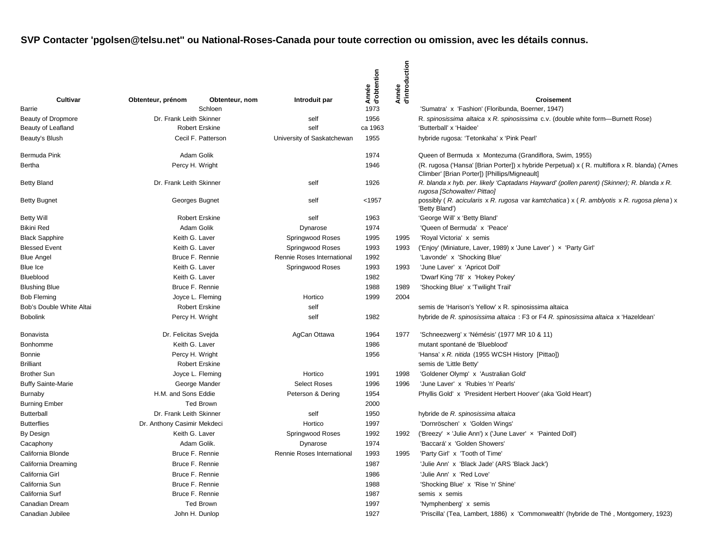|                           |                             |                           |                            | Année<br>d'obtention | Année<br>d'introduction |                                                                                                                                                |
|---------------------------|-----------------------------|---------------------------|----------------------------|----------------------|-------------------------|------------------------------------------------------------------------------------------------------------------------------------------------|
| Cultivar<br>Barrie        | Obtenteur, prénom           | Obtenteur, nom<br>Schloen | Introduit par              | 1973                 |                         | <b>Croisement</b><br>'Sumatra' x 'Fashion' (Floribunda, Boerner, 1947)                                                                         |
| <b>Beauty of Dropmore</b> | Dr. Frank Leith Skinner     |                           | self                       | 1956                 |                         | R. spinosissima altaica x R. spinosissima c.v. (double white form—Burnett Rose)                                                                |
| Beauty of Leafland        |                             | <b>Robert Erskine</b>     | self                       | ca 1963              |                         | 'Butterball' x 'Haidee'                                                                                                                        |
| Beauty's Blush            |                             | Cecil F. Patterson        | University of Saskatchewan | 1955                 |                         | hybride rugosa: 'Tetonkaha' x 'Pink Pearl'                                                                                                     |
| Bermuda Pink              |                             | Adam Golik                |                            | 1974                 |                         | Queen of Bermuda x Montezuma (Grandiflora, Swim, 1955)                                                                                         |
| Bertha                    |                             | Percy H. Wright           |                            | 1946                 |                         | (R. rugosa ('Hansa' [Brian Porter]) x hybride Perpetual) x (R. multiflora x R. blanda) ('Ames<br>Climber' [Brian Porter]) [Phillips/Migneault] |
| <b>Betty Bland</b>        | Dr. Frank Leith Skinner     |                           | self                       | 1926                 |                         | R. blanda x hyb. per. likely 'Captadans Hayward' (pollen parent) (Skinner); R. blanda x R.<br>rugosa [Schowalter/ Pittao]                      |
| <b>Betty Bugnet</b>       |                             | Georges Bugnet            | self                       | < 1957               |                         | possibly (R. acicularis x R. rugosa var kamtchatica) x (R. amblyotis x R. rugosa plena) x<br>'Betty Bland')                                    |
| <b>Betty Will</b>         |                             | <b>Robert Erskine</b>     | self                       | 1963                 |                         | 'George Will' x 'Betty Bland'                                                                                                                  |
| <b>Bikini Red</b>         |                             | Adam Golik                | Dynarose                   | 1974                 |                         | 'Queen of Bermuda' x 'Peace'                                                                                                                   |
| <b>Black Sapphire</b>     | Keith G. Laver              |                           | Springwood Roses           | 1995                 | 1995                    | 'Royal Victoria' x semis                                                                                                                       |
| <b>Blessed Event</b>      | Keith G. Laver              |                           | <b>Springwood Roses</b>    | 1993                 | 1993                    | ('Enjoy' (Miniature, Laver, 1989) x 'June Laver') x 'Party Girl'                                                                               |
| <b>Blue Angel</b>         |                             | Bruce F. Rennie           | Rennie Roses International | 1992                 |                         | 'Lavonde' x 'Shocking Blue'                                                                                                                    |
| Blue Ice                  | Keith G. Laver              |                           | Springwood Roses           | 1993                 | 1993                    | 'June Laver' x 'Apricot Doll'                                                                                                                  |
| Blueblood                 | Keith G. Laver              |                           |                            | 1982                 |                         | 'Dwarf King '78' x 'Hokey Pokey'                                                                                                               |
| <b>Blushing Blue</b>      |                             | Bruce F. Rennie           |                            | 1988                 | 1989                    | 'Shocking Blue' x 'Twilight Trail'                                                                                                             |
| <b>Bob Fleming</b>        |                             | Joyce L. Fleming          | Hortico                    | 1999                 | 2004                    |                                                                                                                                                |
| Bob's Double White Altai  |                             | <b>Robert Erskine</b>     | self                       |                      |                         | semis de 'Harison's Yellow' x R. spinosissima altaica                                                                                          |
| <b>Bobolink</b>           |                             | Percy H. Wright           | self                       | 1982                 |                         | hybride de R. spinosissima altaica : F3 or F4 R. spinosissima altaica x 'Hazeldean'                                                            |
| Bonavista                 | Dr. Felicitas Sveida        |                           | AgCan Ottawa               | 1964                 | 1977                    | 'Schneezwerg' x 'Némésis' (1977 MR 10 & 11)                                                                                                    |
| Bonhomme                  | Keith G. Laver              |                           |                            | 1986                 |                         | mutant spontané de 'Blueblood'                                                                                                                 |
| Bonnie                    |                             | Percy H. Wright           |                            | 1956                 |                         | 'Hansa' x R. nitida (1955 WCSH History [Pittao])                                                                                               |
| <b>Brilliant</b>          |                             | <b>Robert Erskine</b>     |                            |                      |                         | semis de 'Little Betty'                                                                                                                        |
| <b>Brother Sun</b>        |                             | Joyce L. Fleming          | Hortico                    | 1991                 | 1998                    | 'Goldener Olymp' x 'Australian Gold'                                                                                                           |
| <b>Buffy Sainte-Marie</b> |                             | George Mander             | <b>Select Roses</b>        | 1996                 | 1996                    | 'June Laver' x 'Rubies 'n' Pearls'                                                                                                             |
| Burnaby                   | H.M. and Sons Eddie         |                           | Peterson & Dering          | 1954                 |                         | Phyllis Gold' x 'President Herbert Hoover' (aka 'Gold Heart')                                                                                  |
| <b>Burning Ember</b>      |                             | <b>Ted Brown</b>          |                            | 2000                 |                         |                                                                                                                                                |
| <b>Butterball</b>         | Dr. Frank Leith Skinner     |                           | self                       | 1950                 |                         | hybride de R. spinosissima altaica                                                                                                             |
| <b>Butterflies</b>        | Dr. Anthony Casimir Mekdeci |                           | Hortico                    | 1997                 |                         | 'Dornröschen' x 'Golden Wings'                                                                                                                 |
| By Design                 | Keith G. Laver              |                           | Springwood Roses           | 1992                 | 1992                    | ('Breezy' x 'Julie Ann') x ('June Laver' x 'Painted Doll')                                                                                     |
| Cacaphony                 |                             | Adam Golik.               | Dynarose                   | 1974                 |                         | 'Baccará' x 'Golden Showers'                                                                                                                   |
| California Blonde         |                             | Bruce F. Rennie           | Rennie Roses International | 1993                 | 1995                    | 'Party Girl' x 'Tooth of Time'                                                                                                                 |
| California Dreaming       |                             | Bruce F. Rennie           |                            | 1987                 |                         | 'Julie Ann' x 'Black Jade' (ARS 'Black Jack')                                                                                                  |
| California Girl           |                             | Bruce F. Rennie           |                            | 1986                 |                         | 'Julie Ann' x 'Red Love'                                                                                                                       |
| California Sun            |                             | Bruce F. Rennie           |                            | 1988                 |                         | 'Shocking Blue' x 'Rise 'n' Shine'                                                                                                             |
| California Surf           |                             | Bruce F. Rennie           |                            | 1987                 |                         | semis x semis                                                                                                                                  |
| Canadian Dream            |                             | <b>Ted Brown</b>          |                            | 1997                 |                         | 'Nymphenberg' x semis                                                                                                                          |
| Canadian Jubilee          |                             | John H. Dunlop            |                            | 1927                 |                         | 'Priscilla' (Tea, Lambert, 1886) x 'Commonwealth' (hybride de Thé, Montgomery, 1923)                                                           |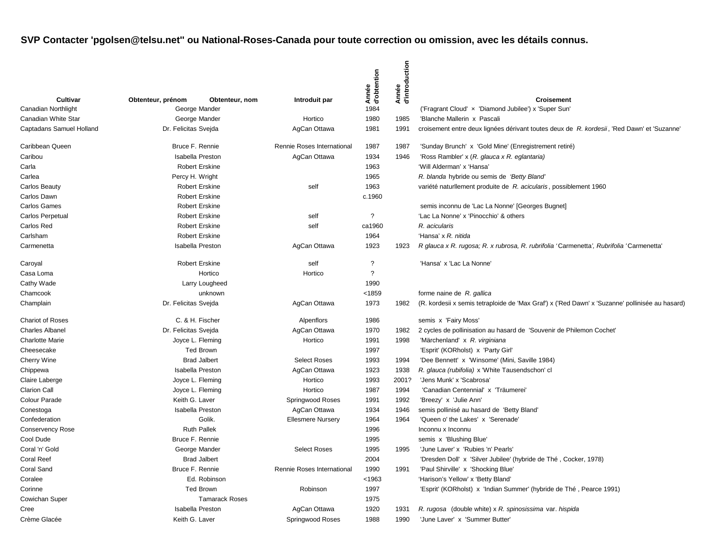| Cultivar                   | Obtenteur, prénom       | Obtenteur, nom          | Introduit par              | Année<br>d'obtention     | Année<br>d'introduction | <b>Croisement</b>                                                                               |
|----------------------------|-------------------------|-------------------------|----------------------------|--------------------------|-------------------------|-------------------------------------------------------------------------------------------------|
| <b>Canadian Northlight</b> |                         | George Mander           |                            | 1984                     |                         | ('Fragrant Cloud' x 'Diamond Jubilee') x 'Super Sun'                                            |
| Canadian White Star        |                         | George Mander           | Hortico                    | 1980                     | 1985                    | 'Blanche Mallerin x Pascali                                                                     |
| Captadans Samuel Holland   | Dr. Felicitas Svejda    |                         | AgCan Ottawa               | 1981                     | 1991                    | croisement entre deux lignées dérivant toutes deux de R. kordesii, 'Red Dawn' et 'Suzanne'      |
| Caribbean Queen            | Bruce F. Rennie         |                         | Rennie Roses International | 1987                     | 1987                    | 'Sunday Brunch' x 'Gold Mine' (Enregistrement retiré)                                           |
| Caribou                    |                         | <b>Isabella Preston</b> | AgCan Ottawa               | 1934                     | 1946                    | 'Ross Rambler' x (R. glauca x R. eglantaria)                                                    |
| Carla                      |                         | <b>Robert Erskine</b>   |                            | 1963                     |                         | 'Will Alderman' x 'Hansa'                                                                       |
| Carlea                     | Percy H. Wright         |                         |                            | 1965                     |                         | R. blanda hybride ou semis de 'Betty Bland'                                                     |
| <b>Carlos Beauty</b>       |                         | <b>Robert Erskine</b>   | self                       | 1963                     |                         | variété naturllement produite de R. acicularis, possiblement 1960                               |
| Carlos Dawn                |                         | <b>Robert Erskine</b>   |                            | c.1960                   |                         |                                                                                                 |
| <b>Carlos Games</b>        |                         | <b>Robert Erskine</b>   |                            |                          |                         | semis inconnu de 'Lac La Nonne' [Georges Bugnet]                                                |
| Carlos Perpetual           |                         | <b>Robert Erskine</b>   | self                       | $\overline{?}$           |                         | 'Lac La Nonne' x 'Pinocchio' & others                                                           |
| Carlos Red                 |                         | <b>Robert Erskine</b>   | self                       | ca1960                   |                         | R. acicularis                                                                                   |
| Carlsham                   |                         | <b>Robert Erskine</b>   |                            | 1964                     |                         | 'Hansa' x R. nitida                                                                             |
| Carmenetta                 | <b>Isabella Preston</b> |                         | AgCan Ottawa               | 1923                     | 1923                    | R glauca x R. rugosa; R. x rubrosa, R. rubrifolia 'Carmenetta', Rubrifolia 'Carmenetta'         |
| Caroyal                    | <b>Robert Erskine</b>   |                         | self                       | $\overline{\phantom{a}}$ |                         | 'Hansa' x 'Lac La Nonne'                                                                        |
| Casa Loma                  | Hortico                 |                         | Hortico                    | $\boldsymbol{\gamma}$    |                         |                                                                                                 |
| Cathy Wade                 | Larry Lougheed          |                         |                            | 1990                     |                         |                                                                                                 |
| Chamcook                   | unknown                 |                         |                            | <1859                    |                         | forme naine de R. gallica                                                                       |
| Champlain                  | Dr. Felicitas Svejda    |                         | AgCan Ottawa               | 1973                     | 1982                    | (R. kordesii x semis tetraploide de 'Max Graf') x ('Red Dawn' x 'Suzanne' pollinisée au hasard) |
| <b>Chariot of Roses</b>    |                         | C. & H. Fischer         | Alpenflors                 | 1986                     |                         | semis x 'Fairy Moss'                                                                            |
| <b>Charles Albanel</b>     | Dr. Felicitas Svejda    |                         | AgCan Ottawa               | 1970                     | 1982                    | 2 cycles de pollinisation au hasard de 'Souvenir de Philemon Cochet'                            |
| <b>Charlotte Marie</b>     |                         | Joyce L. Fleming        | Hortico                    | 1991                     | 1998                    | 'Märchenland' x R. virginiana                                                                   |
| Cheesecake                 |                         | <b>Ted Brown</b>        |                            | 1997                     |                         | 'Esprit' (KORholst) x 'Party Girl'                                                              |
| Cherry Wine                |                         | <b>Brad Jalbert</b>     | <b>Select Roses</b>        | 1993                     | 1994                    | 'Dee Bennett' x 'Winsome' (Mini, Saville 1984)                                                  |
| Chippewa                   |                         | <b>Isabella Preston</b> | AgCan Ottawa               | 1923                     | 1938                    | R. glauca (rubifolia) x 'White Tausendschon' cl                                                 |
| Claire Laberge             |                         | Joyce L. Fleming        | Hortico                    | 1993                     | 2001?                   | 'Jens Munk' x 'Scabrosa'                                                                        |
| <b>Clarion Call</b>        |                         | Joyce L. Fleming        | Hortico                    | 1987                     | 1994                    | 'Canadian Centennial' x 'Träumerei'                                                             |
| Colour Parade              | Keith G. Laver          |                         | Springwood Roses           | 1991                     | 1992                    | 'Breezy' x 'Julie Ann'                                                                          |
| Conestoga                  |                         | <b>Isabella Preston</b> | AgCan Ottawa               | 1934                     | 1946                    | semis pollinisé au hasard de 'Betty Bland'                                                      |
| Confederation              |                         | Golik.                  | <b>Ellesmere Nursery</b>   | 1964                     | 1964                    | 'Queen o' the Lakes' x 'Serenade'                                                               |
| <b>Conservency Rose</b>    |                         | <b>Ruth Pallek</b>      |                            | 1996                     |                         | Inconnu x Inconnu                                                                               |
| Cool Dude                  | Bruce F. Rennie         |                         |                            | 1995                     |                         | semis x 'Blushing Blue'                                                                         |
| Coral 'n' Gold             |                         | George Mander           | <b>Select Roses</b>        | 1995                     | 1995                    | 'June Laver' x 'Rubies 'n' Pearls'                                                              |
| <b>Coral Reef</b>          |                         | <b>Brad Jalbert</b>     |                            | 2004                     |                         | 'Dresden Doll' x 'Silver Jubilee' (hybride de Thé, Cocker, 1978)                                |
| <b>Coral Sand</b>          | Bruce F. Rennie         |                         | Rennie Roses International | 1990                     | 1991                    | 'Paul Shirville' x 'Shocking Blue'                                                              |
| Coralee                    |                         | Ed. Robinson            |                            | < 1963                   |                         | 'Harison's Yellow' x 'Betty Bland'                                                              |
| Corinne                    |                         | <b>Ted Brown</b>        | Robinson                   | 1997                     |                         | 'Esprit' (KORholst) x 'Indian Summer' (hybride de Thé, Pearce 1991)                             |
| Cowichan Super             |                         | <b>Tamarack Roses</b>   |                            | 1975                     |                         |                                                                                                 |
| Cree                       |                         | <b>Isabella Preston</b> | AgCan Ottawa               | 1920                     | 1931                    | R. rugosa (double white) x R. spinosissima var. hispida                                         |
| Crème Glacée               | Keith G. Laver          |                         | Springwood Roses           | 1988                     | 1990                    | 'June Laver' x 'Summer Butter'                                                                  |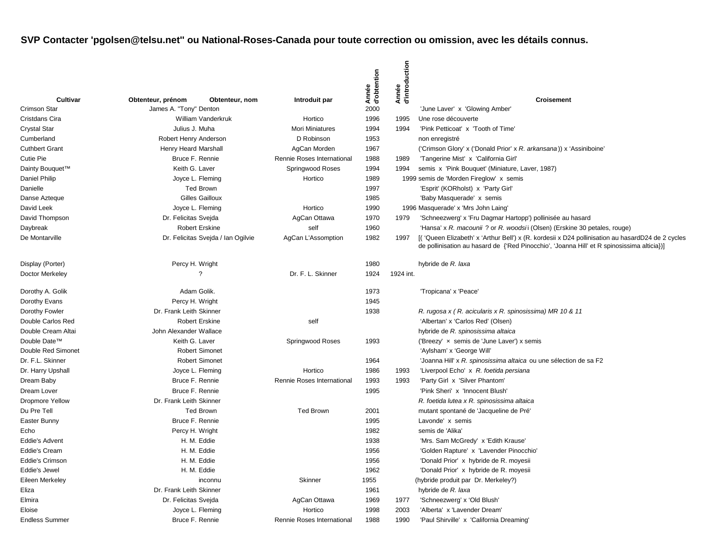|                             |                                             |                                    |                            | Année<br>d'obtention | Année<br>d'introduction |                                                                                                  |
|-----------------------------|---------------------------------------------|------------------------------------|----------------------------|----------------------|-------------------------|--------------------------------------------------------------------------------------------------|
| Cultivar<br>Crimson Star    | Obtenteur, prénom<br>James A. "Tony" Denton | Obtenteur, nom                     | Introduit par              | 2000                 |                         | <b>Croisement</b><br>'June Laver' x 'Glowing Amber'                                              |
| Cristdans Cira              |                                             | William Vanderkruk                 | Hortico                    | 1996                 | 1995                    | Une rose découverte                                                                              |
| <b>Crystal Star</b>         | Julius J. Muha                              |                                    | <b>Mori Miniatures</b>     | 1994                 | 1994                    | 'Pink Petticoat' x 'Tooth of Time'                                                               |
| Cumberland                  | Robert Henry Anderson                       |                                    | D Robinson                 | 1953                 |                         | non enregistré                                                                                   |
| <b>Cuthbert Grant</b>       | <b>Henry Heard Marshall</b>                 |                                    | AgCan Morden               | 1967                 |                         | ('Crimson Glory' x ('Donald Prior' x R. arkansana)) x 'Assiniboine'                              |
| Cutie Pie                   | Bruce F. Rennie                             |                                    | Rennie Roses International | 1988                 | 1989                    | 'Tangerine Mist' x 'California Girl'                                                             |
| Dainty Bouquet <sup>™</sup> | Keith G. Laver                              |                                    | Springwood Roses           | 1994                 | 1994                    | semis x 'Pink Bouquet' (Miniature, Laver, 1987)                                                  |
| Daniel Philip               | Joyce L. Fleming                            |                                    | Hortico                    | 1989                 |                         | 1999 semis de 'Morden Fireglow' x semis                                                          |
| Danielle                    |                                             | <b>Ted Brown</b>                   |                            | 1997                 |                         | 'Esprit' (KORholst) x 'Party Girl'                                                               |
| Danse Azteque               |                                             | <b>Gilles Gailloux</b>             |                            | 1985                 |                         | 'Baby Masquerade' x semis                                                                        |
| David Leek                  | Joyce L. Fleming                            |                                    | Hortico                    | 1990                 |                         | 1996 Masquerade' x 'Mrs John Laing'                                                              |
| David Thompson              | Dr. Felicitas Svejda                        |                                    | AgCan Ottawa               | 1970                 | 1979                    | 'Schneezwerg' x 'Fru Dagmar Hartopp') pollinisée au hasard                                       |
| Daybreak                    |                                             | <b>Robert Erskine</b>              | self                       | 1960                 |                         | 'Hansa' x R. macounii ? or R. woodsii (Olsen) (Erskine 30 petales, rouge)                        |
| De Montarville              |                                             | Dr. Felicitas Svejda / Ian Ogilvie | AgCan L'Assomption         | 1982                 | 1997                    | [('Queen Elizabeth' x 'Arthur Bell') x (R. kordesii x D24 pollinisation au hasardD24 de 2 cycles |
|                             |                                             |                                    |                            |                      |                         | de pollinisation au hasard de {'Red Pinocchio', 'Joanna Hill' et R spinosissima alticia})]       |
| Display (Porter)            | Percy H. Wright                             |                                    |                            | 1980                 |                         | hybride de R. laxa                                                                               |
| Doctor Merkeley             |                                             | ?                                  | Dr. F. L. Skinner          | 1924                 | 1924 int.               |                                                                                                  |
| Dorothy A. Golik            | Adam Golik.                                 |                                    |                            | 1973                 |                         | 'Tropicana' x 'Peace'                                                                            |
| Dorothy Evans               | Percy H. Wright                             |                                    |                            | 1945                 |                         |                                                                                                  |
| Dorothy Fowler              | Dr. Frank Leith Skinner                     |                                    |                            | 1938                 |                         | R. rugosa x (R. acicularis x R. spinosissima) MR 10 & 11                                         |
| Double Carlos Red           |                                             | <b>Robert Erskine</b>              | self                       |                      |                         | 'Albertan' x 'Carlos Red' (Olsen)                                                                |
| Double Cream Altai          | John Alexander Wallace                      |                                    |                            |                      |                         | hybride de R. spinosissima altaica                                                               |
| Double Date™                | Keith G. Laver                              |                                    | Springwood Roses           | 1993                 |                         | ('Breezy' x semis de 'June Laver') x semis                                                       |
| Double Red Simonet          |                                             | <b>Robert Simonet</b>              |                            |                      |                         | 'Aylsham' x 'George Will'                                                                        |
| Dr. F.L. Skinner            |                                             | <b>Robert Simonet</b>              |                            | 1964                 |                         | 'Joanna Hill' x R. spinosissima altaica ou une sélection de sa F2                                |
| Dr. Harry Upshall           | Joyce L. Fleming                            |                                    | Hortico                    | 1986                 | 1993                    | 'Liverpool Echo' x R. foetida persiana                                                           |
| Dream Baby                  | Bruce F. Rennie                             |                                    | Rennie Roses International | 1993                 | 1993                    | 'Party Girl x 'Silver Phantom'                                                                   |
| Dream Lover                 | Bruce F. Rennie                             |                                    |                            | 1995                 |                         | 'Pink Sheri' x 'Innocent Blush'                                                                  |
| <b>Dropmore Yellow</b>      | Dr. Frank Leith Skinner                     |                                    |                            |                      |                         | R. foetida lutea x R. spinosissima altaica                                                       |
| Du Pre Tell                 |                                             | <b>Ted Brown</b>                   | <b>Ted Brown</b>           | 2001                 |                         | mutant spontané de 'Jacqueline de Pré'                                                           |
| Easter Bunny                | Bruce F. Rennie                             |                                    |                            | 1995                 |                         | Lavonde' x semis                                                                                 |
| Echo                        | Percy H. Wright                             |                                    |                            | 1982                 |                         | semis de 'Alika'                                                                                 |
| <b>Eddie's Advent</b>       |                                             | H. M. Eddie                        |                            | 1938                 |                         | 'Mrs. Sam McGredy' x 'Edith Krause'                                                              |
| Eddie's Cream               |                                             | H. M. Eddie                        |                            | 1956                 |                         | 'Golden Rapture' x 'Lavender Pinocchio'                                                          |
| Eddie's Crimson             |                                             | H. M. Eddie                        |                            | 1956                 |                         | 'Donald Prior' x hybride de R. moyesii                                                           |
| Eddie's Jewel               |                                             | H. M. Eddie                        |                            | 1962                 |                         | 'Donald Prior' x hybride de R. moyesii                                                           |
| Eileen Merkeley             |                                             | inconnu                            | Skinner                    | 1955                 |                         | (hybride produit par Dr. Merkeley?)                                                              |
| Eliza                       | Dr. Frank Leith Skinner                     |                                    |                            | 1961                 |                         | hybride de R. laxa                                                                               |
| Elmira                      | Dr. Felicitas Svejda                        |                                    | AgCan Ottawa               | 1969                 | 1977                    | 'Schneezwerg' x 'Old Blush'                                                                      |
| Eloise                      | Joyce L. Fleming                            |                                    | Hortico                    | 1998                 | 2003                    | 'Alberta' x 'Lavender Dream'                                                                     |
| <b>Endless Summer</b>       | Bruce F. Rennie                             |                                    | Rennie Roses International | 1988                 | 1990                    | 'Paul Shirville' x 'California Dreaming'                                                         |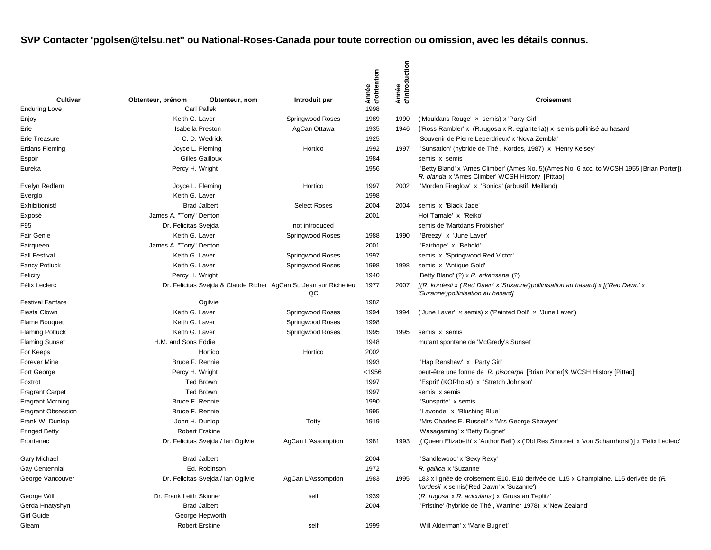| Cultivar                  | Obtenteur, prénom                                                 | Obtenteur, nom                     | Introduit par       | Année<br>d'obtention | Année<br>d'introduction | Croisement                                                                                                                                    |
|---------------------------|-------------------------------------------------------------------|------------------------------------|---------------------|----------------------|-------------------------|-----------------------------------------------------------------------------------------------------------------------------------------------|
| <b>Enduring Love</b>      |                                                                   | <b>Carl Pallek</b>                 |                     | 1998                 |                         |                                                                                                                                               |
| Enjoy                     | Keith G. Laver                                                    |                                    | Springwood Roses    | 1989                 | 1990                    | ('Mouldans Rouge' x semis) x 'Party Girl'                                                                                                     |
| Erie                      |                                                                   | <b>Isabella Preston</b>            | AgCan Ottawa        | 1935                 | 1946                    | {'Ross Rambler' x (R. rugosa x R. eglanteria)} x semis pollinisé au hasard                                                                    |
| Erie Treasure             |                                                                   | C. D. Wedrick                      |                     | 1925                 |                         | 'Souvenir de Pierre Leperdrieux' x 'Nova Zembla'                                                                                              |
| Erdans Fleming            |                                                                   | Joyce L. Fleming                   | Hortico             | 1992                 | 1997                    | 'Sunsation' (hybride de Thé, Kordes, 1987) x 'Henry Kelsey'                                                                                   |
| Espoir                    |                                                                   | Gilles Gailloux                    |                     | 1984                 |                         | semis x semis                                                                                                                                 |
| Eureka                    | Percy H. Wright                                                   |                                    |                     | 1956                 |                         | 'Betty Bland' x 'Ames Climber' (Ames No. 5) (Ames No. 6 acc. to WCSH 1955 [Brian Porter])<br>R. blanda x 'Ames Climber' WCSH History [Pittao] |
| Evelyn Redfern            |                                                                   | Joyce L. Fleming                   | Hortico             | 1997                 | 2002                    | 'Morden Fireglow' x 'Bonica' (arbustif, Meilland)                                                                                             |
| Everglo                   | Keith G. Laver                                                    |                                    |                     | 1998                 |                         |                                                                                                                                               |
| Exhibitionist!            |                                                                   | <b>Brad Jalbert</b>                | <b>Select Roses</b> | 2004                 | 2004                    | semis x 'Black Jade'                                                                                                                          |
| Exposé                    | James A. "Tony" Denton                                            |                                    |                     | 2001                 |                         | Hot Tamale' x 'Reiko'                                                                                                                         |
| F95                       | Dr. Felicitas Svejda                                              |                                    | not introduced      |                      |                         | semis de 'Martdans Frobisher'                                                                                                                 |
| <b>Fair Genie</b>         | Keith G. Laver                                                    |                                    | Springwood Roses    | 1988                 | 1990                    | 'Breezy' x 'June Laver'                                                                                                                       |
| Fairqueen                 | James A. "Tony" Denton                                            |                                    |                     | 2001                 |                         | 'Fairhope' x 'Behold'                                                                                                                         |
| <b>Fall Festival</b>      | Keith G. Laver                                                    |                                    | Springwood Roses    | 1997                 |                         | semis x 'Springwood Red Victor'                                                                                                               |
| <b>Fancy Potluck</b>      | Keith G. Laver                                                    |                                    | Springwood Roses    | 1998                 | 1998                    | semis x 'Antique Gold'                                                                                                                        |
| Felicity                  | Percy H. Wright                                                   |                                    |                     | 1940                 |                         | 'Betty Bland' (?) x R. arkansana (?)                                                                                                          |
| Félix Leclerc             | Dr. Felicitas Svejda & Claude Richer AgCan St. Jean sur Richelieu |                                    | QC                  | 1977                 | 2007                    | [(R. kordesii x ('Red Dawn' x 'Suxanne')pollinisation au hasard] x [('Red Dawn' x<br>'Suzanne')pollinisation au hasard]                       |
| <b>Festival Fanfare</b>   |                                                                   | Ogilvie                            |                     | 1982                 |                         |                                                                                                                                               |
| Fiesta Clown              | Keith G. Laver                                                    |                                    | Springwood Roses    | 1994                 | 1994                    | ('June Laver' x semis) x ('Painted Doll' x 'June Laver')                                                                                      |
| Flame Bouquet             | Keith G. Laver                                                    |                                    | Springwood Roses    | 1998                 |                         |                                                                                                                                               |
| <b>Flaming Potluck</b>    | Keith G. Laver                                                    |                                    | Springwood Roses    | 1995                 | 1995                    | semis x semis                                                                                                                                 |
| <b>Flaming Sunset</b>     | H.M. and Sons Eddie                                               |                                    |                     | 1948                 |                         | mutant spontané de 'McGredy's Sunset'                                                                                                         |
| For Keeps                 |                                                                   | Hortico                            | Hortico             | 2002                 |                         |                                                                                                                                               |
| Forever Mine              |                                                                   | Bruce F. Rennie                    |                     | 1993                 |                         | 'Hap Renshaw' x 'Party Girl'                                                                                                                  |
| Fort George               | Percy H. Wright                                                   |                                    |                     | < 1956               |                         | peut-être une forme de R. pisocarpa [Brian Porter]& WCSH History [Pittao]                                                                     |
| Foxtrot                   |                                                                   | <b>Ted Brown</b>                   |                     | 1997                 |                         | 'Esprit' (KORholst) x 'Stretch Johnson'                                                                                                       |
| <b>Fragrant Carpet</b>    |                                                                   | <b>Ted Brown</b>                   |                     | 1997                 |                         | semis x semis                                                                                                                                 |
| <b>Fragrant Morning</b>   |                                                                   | Bruce F. Rennie                    |                     | 1990                 |                         | 'Sunsprite' x semis                                                                                                                           |
| <b>Fragrant Obsession</b> |                                                                   | Bruce F. Rennie                    |                     | 1995                 |                         | 'Lavonde' x 'Blushing Blue'                                                                                                                   |
| Frank W. Dunlop           |                                                                   | John H. Dunlop                     | Totty               | 1919                 |                         | 'Mrs Charles E. Russell' x 'Mrs George Shawyer'                                                                                               |
| <b>Fringed Betty</b>      |                                                                   | <b>Robert Erskine</b>              |                     |                      |                         | 'Wasagaming' x 'Betty Bugnet'                                                                                                                 |
| Frontenac                 |                                                                   | Dr. Felicitas Svejda / Ian Ogilvie | AgCan L'Assomption  | 1981                 | 1993                    | [('Queen Elizabeth' x 'Author Bell') x ('Dbl Res Simonet' x 'von Scharnhorst')] x 'Felix Leclerc'                                             |
| Gary Michael              |                                                                   | <b>Brad Jalbert</b>                |                     | 2004                 |                         | 'Sandlewood' x 'Sexy Rexy'                                                                                                                    |
| Gay Centennial            |                                                                   | Ed. Robinson                       |                     | 1972                 |                         | R. gallica x 'Suzanne'                                                                                                                        |
| George Vancouver          |                                                                   | Dr. Felicitas Svejda / Ian Ogilvie | AgCan L'Assomption  | 1983                 | 1995                    | L83 x lignée de croisement E10. E10 derivée de L15 x Champlaine. L15 derivée de (R.<br>kordesii x semis('Red Dawn' x 'Suzanne')               |
| George Will               | Dr. Frank Leith Skinner                                           |                                    | self                | 1939                 |                         | (R. rugosa x R. acicularis) x 'Gruss an Teplitz'                                                                                              |
| Gerda Hnatyshyn           |                                                                   | <b>Brad Jalbert</b>                |                     | 2004                 |                         | 'Pristine' (hybride de Thé, Warriner 1978) x 'New Zealand'                                                                                    |
| Girl Guide                |                                                                   | George Hepworth                    |                     |                      |                         |                                                                                                                                               |
| Gleam                     |                                                                   | Robert Erskine                     | self                | 1999                 |                         | 'Will Alderman' x 'Marie Bugnet'                                                                                                              |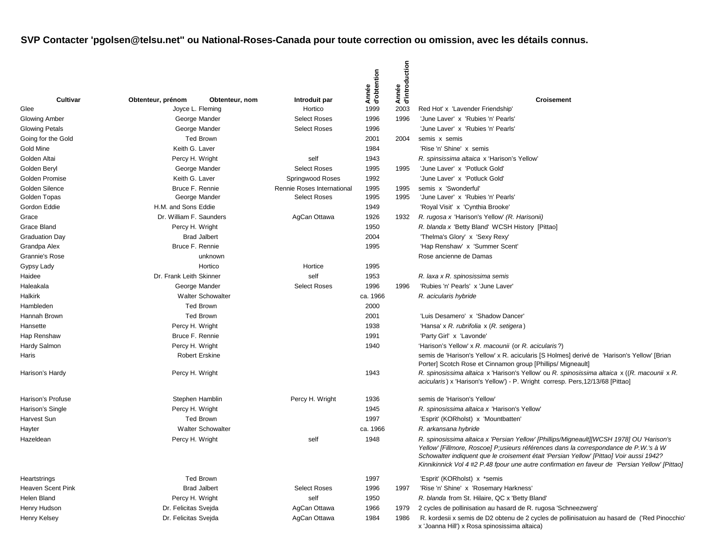|                                 |                          |                                   |                                | Année<br>d'obtention | d'introduction<br>Année |                                                                                                                                                                                                                                                                                                                                                                               |
|---------------------------------|--------------------------|-----------------------------------|--------------------------------|----------------------|-------------------------|-------------------------------------------------------------------------------------------------------------------------------------------------------------------------------------------------------------------------------------------------------------------------------------------------------------------------------------------------------------------------------|
| Cultivar                        | Obtenteur, prénom        | Obtenteur, nom                    | Introduit par                  |                      |                         | <b>Croisement</b>                                                                                                                                                                                                                                                                                                                                                             |
| Glee                            |                          | Joyce L. Fleming                  | Hortico<br><b>Select Roses</b> | 1999                 | 2003                    | Red Hot' x 'Lavender Friendship'                                                                                                                                                                                                                                                                                                                                              |
| Glowing Amber                   |                          | George Mander                     | <b>Select Roses</b>            | 1996<br>1996         | 1996                    | 'June Laver' x 'Rubies 'n' Pearls'<br>'June Laver' x 'Rubies 'n' Pearls'                                                                                                                                                                                                                                                                                                      |
| <b>Glowing Petals</b>           |                          | George Mander<br><b>Ted Brown</b> |                                |                      | 2004                    |                                                                                                                                                                                                                                                                                                                                                                               |
| Going for the Gold<br>Gold Mine | Keith G. Laver           |                                   |                                | 2001<br>1984         |                         | semis x semis<br>'Rise 'n' Shine' x semis                                                                                                                                                                                                                                                                                                                                     |
| Golden Altai                    | Percy H. Wright          |                                   | self                           | 1943                 |                         | R. spinsissima altaica x 'Harison's Yellow'                                                                                                                                                                                                                                                                                                                                   |
| Golden Beryl                    |                          | George Mander                     | <b>Select Roses</b>            | 1995                 | 1995                    | 'June Laver' x 'Potluck Gold'                                                                                                                                                                                                                                                                                                                                                 |
| Golden Promise                  | Keith G. Laver           |                                   | Springwood Roses               | 1992                 |                         | 'June Laver' x 'Potluck Gold'                                                                                                                                                                                                                                                                                                                                                 |
| Golden Silence                  | Bruce F. Rennie          |                                   | Rennie Roses International     | 1995                 | 1995                    | semis x 'Swonderful'                                                                                                                                                                                                                                                                                                                                                          |
| Golden Topas                    |                          | George Mander                     | <b>Select Roses</b>            | 1995                 | 1995                    | 'June Laver' x 'Rubies 'n' Pearls'                                                                                                                                                                                                                                                                                                                                            |
| Gordon Eddie                    | H.M. and Sons Eddie      |                                   |                                | 1949                 |                         | 'Royal Visit' x 'Cynthia Brooke'                                                                                                                                                                                                                                                                                                                                              |
| Grace                           | Dr. William F. Saunders  |                                   | AgCan Ottawa                   | 1926                 | 1932                    | R. rugosa x 'Harison's Yellow' (R. Harisonii)                                                                                                                                                                                                                                                                                                                                 |
| Grace Bland                     | Percy H. Wright          |                                   |                                | 1950                 |                         | R. blanda x 'Betty Bland' WCSH History [Pittao]                                                                                                                                                                                                                                                                                                                               |
| <b>Graduation Day</b>           |                          | <b>Brad Jalbert</b>               |                                | 2004                 |                         | 'Thelma's Glory' x 'Sexy Rexy'                                                                                                                                                                                                                                                                                                                                                |
| Grandpa Alex                    | Bruce F. Rennie          |                                   |                                | 1995                 |                         | 'Hap Renshaw' x 'Summer Scent'                                                                                                                                                                                                                                                                                                                                                |
| Grannie's Rose                  |                          | unknown                           |                                |                      |                         | Rose ancienne de Damas                                                                                                                                                                                                                                                                                                                                                        |
| Gypsy Lady                      | Hortico                  |                                   | Hortice                        | 1995                 |                         |                                                                                                                                                                                                                                                                                                                                                                               |
| Haidee                          | Dr. Frank Leith Skinner  |                                   | self                           | 1953                 |                         | R. laxa x R. spinosissima semis                                                                                                                                                                                                                                                                                                                                               |
| Haleakala                       | George Mander            |                                   | <b>Select Roses</b>            | 1996                 | 1996                    | 'Rubies 'n' Pearls' x 'June Laver'                                                                                                                                                                                                                                                                                                                                            |
| Halkirk                         | <b>Walter Schowalter</b> |                                   |                                | ca. 1966             |                         | R. acicularis hybride                                                                                                                                                                                                                                                                                                                                                         |
| Hambleden                       | <b>Ted Brown</b>         |                                   |                                | 2000                 |                         |                                                                                                                                                                                                                                                                                                                                                                               |
| Hannah Brown                    |                          | <b>Ted Brown</b>                  |                                | 2001                 |                         | 'Luis Desamero' x 'Shadow Dancer'                                                                                                                                                                                                                                                                                                                                             |
| Hansette                        | Percy H. Wright          |                                   |                                | 1938                 |                         | 'Hansa' x R. rubrifolia x (R. setigera)                                                                                                                                                                                                                                                                                                                                       |
| Hap Renshaw                     | Bruce F. Rennie          |                                   |                                | 1991                 |                         | 'Party Girl' x 'Lavonde'                                                                                                                                                                                                                                                                                                                                                      |
| Hardy Salmon                    | Percy H. Wright          |                                   |                                | 1940                 |                         | 'Harison's Yellow' x R. macounii (or R. acicularis?)                                                                                                                                                                                                                                                                                                                          |
| Haris                           |                          | <b>Robert Erskine</b>             |                                |                      |                         | semis de 'Harison's Yellow' x R. acicularis [S Holmes] derivé de 'Harison's Yellow' [Brian<br>Porter] Scotch Rose et Cinnamon group [Phillips/ Migneault]                                                                                                                                                                                                                     |
| Harison's Hardy                 | Percy H. Wright          |                                   |                                | 1943                 |                         | R. spinosissima altaica x 'Harison's Yellow' ou R. spinosissima altaica x ((R. macounii x R.<br>acicularis) x 'Harison's Yellow') - P. Wright corresp. Pers, 12/13/68 [Pittao]                                                                                                                                                                                                |
| Harison's Profuse               |                          | Stephen Hamblin                   | Percy H. Wright                | 1936                 |                         | semis de 'Harison's Yellow'                                                                                                                                                                                                                                                                                                                                                   |
| Harison's Single                | Percy H. Wright          |                                   |                                | 1945                 |                         | R. spinosissima altaica x 'Harison's Yellow'                                                                                                                                                                                                                                                                                                                                  |
| Harvest Sun                     |                          | Ted Brown                         |                                | 1997                 |                         | 'Esprit' (KORholst) x 'Mountbatten'                                                                                                                                                                                                                                                                                                                                           |
| Hayter                          |                          | <b>Walter Schowalter</b>          |                                | ca. 1966             |                         | R. arkansana hybride                                                                                                                                                                                                                                                                                                                                                          |
| Hazeldean                       | Percy H. Wright          |                                   | self                           | 1948                 |                         | R. spinosissima altaica x 'Persian Yellow' [Phillips/Migneault][WCSH 1978] OU 'Harison's<br>Yellow' [Fillmore, Roscoe] P;usieurs références dans la correspondance de P.W.'s à W<br>Schowalter indiquent que le croisement était 'Persian Yellow' [Pittao] Voir aussi 1942?<br>Kinnikinnick Vol 4 #2 P.48 fpour une autre confirmation en faveur de 'Persian Yellow' [Pittao] |
| Heartstrings                    |                          | Ted Brown                         |                                | 1997                 |                         | 'Esprit' (KORholst) x *semis                                                                                                                                                                                                                                                                                                                                                  |
| Heaven Scent Pink               |                          | <b>Brad Jalbert</b>               | <b>Select Roses</b>            | 1996                 | 1997                    | 'Rise 'n' Shine' x 'Rosemary Harkness'                                                                                                                                                                                                                                                                                                                                        |
| Helen Bland                     | Percy H. Wright          |                                   | self                           | 1950                 |                         | R. blanda from St. Hilaire, QC x 'Betty Bland'                                                                                                                                                                                                                                                                                                                                |
| Henry Hudson                    | Dr. Felicitas Svejda     |                                   | AgCan Ottawa                   | 1966                 | 1979                    | 2 cycles de pollinisation au hasard de R. rugosa 'Schneezwerg'                                                                                                                                                                                                                                                                                                                |
| Henry Kelsey                    | Dr. Felicitas Svejda     |                                   | AgCan Ottawa                   | 1984                 | 1986                    | R. kordesii x semis de D2 obtenu de 2 cycles de pollinisatuion au hasard de ('Red Pinocchio'<br>x 'Joanna Hill') x Rosa spinosissima altaica)                                                                                                                                                                                                                                 |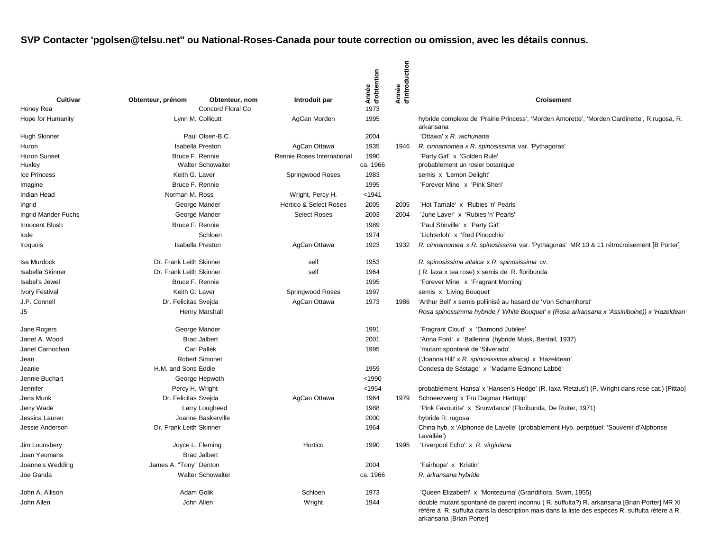|                        |                         |                                     |                            | Année<br>d'obtention | d'introduction<br>Année |                                                                                                                                                                                                                          |
|------------------------|-------------------------|-------------------------------------|----------------------------|----------------------|-------------------------|--------------------------------------------------------------------------------------------------------------------------------------------------------------------------------------------------------------------------|
| Cultivar<br>Honey Rea  | Obtenteur, prénom       | Obtenteur, nom<br>Concord Floral Co | Introduit par              | 1973                 |                         | <b>Croisement</b>                                                                                                                                                                                                        |
| Hope for Humanity      |                         | Lynn M. Collicutt                   | AgCan Morden               | 1995                 |                         | hybride complexe de 'Prairie Princess', 'Morden Amorette', 'Morden Cardinette', R.rugosa, R.<br>arkansana                                                                                                                |
| <b>Hugh Skinner</b>    |                         | Paul Olsen-B.C.                     |                            | 2004                 |                         | 'Ottawa' x R. wichuriana                                                                                                                                                                                                 |
| Huron                  |                         | <b>Isabella Preston</b>             | AgCan Ottawa               | 1935                 | 1946                    | R. cinnamomea x R. spinosissima var. 'Pythagoras'                                                                                                                                                                        |
| <b>Huron Sunset</b>    |                         | Bruce F. Rennie                     | Rennie Roses International | 1990                 |                         | 'Party Girl' x 'Golden Rule'                                                                                                                                                                                             |
| Huxley                 |                         | <b>Walter Schowalter</b>            |                            | ca. 1966             |                         | probablement un rosier botanique                                                                                                                                                                                         |
| Ice Princess           | Keith G. Laver          |                                     | Springwood Roses           | 1983                 |                         | semis x 'Lemon Delight'                                                                                                                                                                                                  |
| Imagine                |                         | Bruce F. Rennie                     |                            | 1995                 |                         | 'Forever Mine' x 'Pink Sheri'                                                                                                                                                                                            |
| Indian Head            | Norman M. Ross          |                                     | Wright, Percy H.           | < 1941               |                         |                                                                                                                                                                                                                          |
| Ingrid                 |                         | George Mander                       | Hortico & Select Roses     | 2005                 | 2005                    | 'Hot Tamale' x 'Rubies 'n' Pearls'                                                                                                                                                                                       |
| Ingrid Mander-Fuchs    |                         | George Mander                       | <b>Select Roses</b>        | 2003                 | 2004                    | 'June Laver' x 'Rubies 'n' Pearls'                                                                                                                                                                                       |
| Innocent Blush         |                         | Bruce F. Rennie                     |                            | 1989                 |                         | 'Paul Shirville' x 'Party Girl'                                                                                                                                                                                          |
| lode                   |                         | Schloen                             |                            | 1974                 |                         | 'Lichterloh' x 'Red Pinocchio'                                                                                                                                                                                           |
| <i><b>Iroquois</b></i> | <b>Isabella Preston</b> |                                     | AgCan Ottawa               | 1923                 | 1932                    | R. cinnamomea x R. spinosissima var. 'Pythagoras' MR 10 & 11 rétrocroisement [B Porter]                                                                                                                                  |
| Isa Murdock            | Dr. Frank Leith Skinner |                                     | self                       | 1953                 |                         | R. spinosissima altaica x R. spinosissima cv.                                                                                                                                                                            |
| Isabella Skinner       | Dr. Frank Leith Skinner |                                     | self                       | 1964                 |                         | (R. laxa x tea rose) x semis de R. floribunda                                                                                                                                                                            |
| Isabel's Jewel         | Bruce F. Rennie         |                                     |                            | 1995                 |                         | 'Forever Mine' x 'Fragrant Morning'                                                                                                                                                                                      |
| Ivory Festival         | Keith G. Laver          |                                     | Springwood Roses           | 1997                 |                         | semis x 'Living Bouquet'                                                                                                                                                                                                 |
| J.P. Connell           | Dr. Felicitas Sveida    |                                     | AgCan Ottawa               | 1973                 | 1986                    | 'Arthur Bell' x semis pollinisé au hasard de 'Von Scharnhorst'                                                                                                                                                           |
| J5                     |                         | <b>Henry Marshall</b>               |                            |                      |                         | Rosa spinossimma hybride, { 'White Bouquet' x (Rosa arkansana x 'Assiniboine)} x 'Hazeldean'                                                                                                                             |
| Jane Rogers            |                         | George Mander                       |                            | 1991                 |                         | 'Fragrant Cloud' x 'Diamond Jubilee'                                                                                                                                                                                     |
| Janet A. Wood          |                         | <b>Brad Jalbert</b>                 |                            | 2001                 |                         | 'Anna Ford' x 'Ballerina' (hybride Musk, Bentall, 1937)                                                                                                                                                                  |
| Janet Carnochan        |                         | <b>Carl Pallek</b>                  |                            | 1995                 |                         | 'mutant spontané de 'Silverado'                                                                                                                                                                                          |
| Jean                   |                         | <b>Robert Simonet</b>               |                            |                      |                         | ('Joanna Hill' x R. spinosissima altaica) x 'Hazeldean'                                                                                                                                                                  |
| Jeanie                 | H.M. and Sons Eddie     |                                     |                            | 1959                 |                         | Condesa de Sástago' x 'Madame Edmond Labbé'                                                                                                                                                                              |
| Jennie Buchart         |                         | George Hepwoth                      |                            | < 1990               |                         |                                                                                                                                                                                                                          |
| Jennifer               |                         | Percy H. Wright                     |                            | < 1954               |                         | probablement 'Hansa' x 'Hansen's Hedge' (R. laxa 'Retzius') (P. Wright dans rose cat.) [Pittao]                                                                                                                          |
| Jens Munk              | Dr. Felicitas Svejda    |                                     | AgCan Ottawa               | 1964                 | 1979                    | Schneezwerg' x 'Fru Dagmar Hartopp'                                                                                                                                                                                      |
| Jerry Wade             |                         | Larry Lougheed                      |                            | 1988                 |                         | 'Pink Favourite' x 'Snowdance' (Floribunda, De Ruiter, 1971)                                                                                                                                                             |
| Jessica Lauren         |                         | Joanne Baskerville                  |                            | 2000                 |                         | hybride R. rugosa                                                                                                                                                                                                        |
| Jessie Anderson        | Dr. Frank Leith Skinner |                                     |                            | 1964                 |                         | China hyb. x 'Alphonse de Lavelle' (probablement Hyb. perpétuel: 'Souvenir d'Alphonse<br>Lavallée')                                                                                                                      |
| Jim Lounsbery          |                         | Joyce L. Fleming                    | Hortico                    | 1990                 | 1995                    | 'Liverpool Echo' x R. virginiana                                                                                                                                                                                         |
| Joan Yeomans           |                         | <b>Brad Jalbert</b>                 |                            |                      |                         |                                                                                                                                                                                                                          |
| Joanne's Wedding       | James A. "Tony" Denton  |                                     |                            | 2004                 |                         | 'Fairhope' x 'Kristin'                                                                                                                                                                                                   |
| Joe Ganda              |                         | <b>Walter Schowalter</b>            |                            | ca. 1966             |                         | R. arkansana hybride                                                                                                                                                                                                     |
| John A. Allison        |                         | Adam Golik                          | Schloen                    | 1973                 |                         | 'Queen Elizabeth' x 'Montezuma' (Grandiflora, Swim, 1955)                                                                                                                                                                |
| John Allen             |                         | John Allen                          | Wright                     | 1944                 |                         | double mutant spontané de parent inconnu (R. suffulta?) R. arkansana [Brian Porter] MR XI<br>réfère à R. suffulta dans la description mais dans la liste des espèces R. suffulta réfère à R.<br>arkansana [Brian Porter] |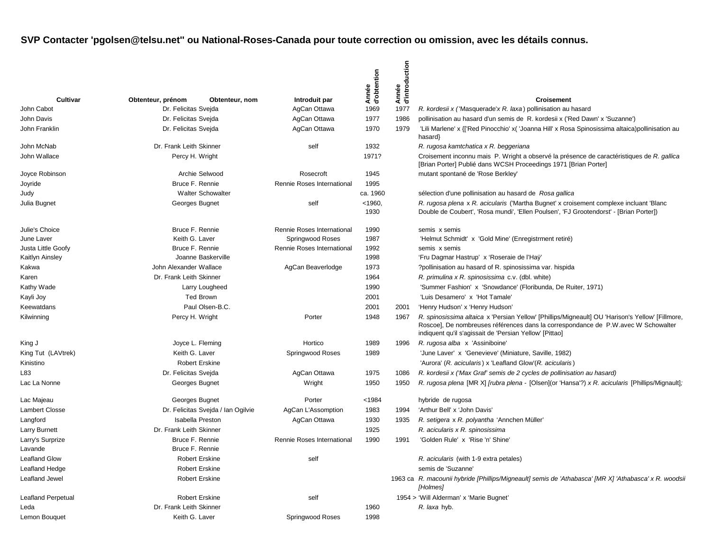|                           |                         |                                    |                            | Année<br>d'obtention | Année<br>d'introduction |                                                                                                                                                                                                                                                   |
|---------------------------|-------------------------|------------------------------------|----------------------------|----------------------|-------------------------|---------------------------------------------------------------------------------------------------------------------------------------------------------------------------------------------------------------------------------------------------|
| Cultivar                  | Obtenteur, prénom       | Obtenteur, nom                     | Introduit par              |                      |                         | <b>Croisement</b>                                                                                                                                                                                                                                 |
| John Cabot                | Dr. Felicitas Svejda    |                                    | AgCan Ottawa               | 1969                 | 1977                    | R. kordesii x ('Masquerade'x R. laxa) pollinisation au hasard                                                                                                                                                                                     |
| John Davis                | Dr. Felicitas Sveida    |                                    | AgCan Ottawa               | 1977                 | 1986                    | pollinisation au hasard d'un semis de R. kordesii x ('Red Dawn' x 'Suzanne')                                                                                                                                                                      |
| John Franklin             | Dr. Felicitas Sveida    |                                    | AgCan Ottawa               | 1970                 | 1979                    | 'Lili Marlene' x {['Red Pinocchio' x( 'Joanna Hill' x Rosa Spinosissima altaica)pollinisation au<br>hasard}                                                                                                                                       |
| John McNab                | Dr. Frank Leith Skinner |                                    | self                       | 1932                 |                         | R. rugosa kamtchatica x R. beggeriana                                                                                                                                                                                                             |
| John Wallace              | Percy H. Wright         |                                    |                            | 1971?                |                         | Croisement inconnu mais P. Wright a observé la présence de caractéristiques de R. gallica<br>[Brian Porter] Publié dans WCSH Proceedings 1971 [Brian Porter]                                                                                      |
| Joyce Robinson            |                         | Archie Selwood                     | Rosecroft                  | 1945                 |                         | mutant spontané de 'Rose Berkley'                                                                                                                                                                                                                 |
| Joyride                   | Bruce F. Rennie         |                                    | Rennie Roses International | 1995                 |                         |                                                                                                                                                                                                                                                   |
| Judy                      |                         | <b>Walter Schowalter</b>           |                            | ca. 1960             |                         | sélection d'une pollinisation au hasard de Rosa gallica                                                                                                                                                                                           |
| Julia Bugnet              | Georges Bugnet          |                                    | self                       | < 1960<br>1930       |                         | R. rugosa plena x R. acicularis ('Martha Bugnet' x croisement complexe incluant 'Blanc<br>Double de Coubert', 'Rosa mundi', 'Ellen Poulsen', 'FJ Grootendorst' - [Brian Porter])                                                                  |
| Julie's Choice            | Bruce F. Rennie         |                                    | Rennie Roses International | 1990                 |                         | semis x semis                                                                                                                                                                                                                                     |
| June Laver                | Keith G. Laver          |                                    | Springwood Roses           | 1987                 |                         | 'Helmut Schmidt' x 'Gold Mine' (Enregistrment retiré)                                                                                                                                                                                             |
| Justa Little Goofy        | Bruce F. Rennie         |                                    | Rennie Roses International | 1992                 |                         | semis x semis                                                                                                                                                                                                                                     |
| Kaitlyn Ainsley           | Joanne Baskerville      |                                    |                            | 1998                 |                         | 'Fru Dagmar Hastrup' x 'Roseraie de l'Haÿ'                                                                                                                                                                                                        |
| Kakwa                     | John Alexander Wallace  |                                    | AgCan Beaverlodge          | 1973                 |                         | ?pollinisation au hasard of R. spinosissima var. hispida                                                                                                                                                                                          |
| Karen                     | Dr. Frank Leith Skinner |                                    |                            | 1964                 |                         | R. primulina x R. spinosissima c.v. (dbl. white)                                                                                                                                                                                                  |
| Kathy Wade                | Larry Lougheed          |                                    |                            | 1990                 |                         | 'Summer Fashion' x 'Snowdance' (Floribunda, De Ruiter, 1971)                                                                                                                                                                                      |
| Kayli Joy                 |                         | <b>Ted Brown</b>                   |                            | 2001                 |                         | 'Luis Desamero' x 'Hot Tamale'                                                                                                                                                                                                                    |
| Keewatdans                |                         | Paul Olsen-B.C.                    |                            | 2001                 | 2001                    | 'Henry Hudson' x 'Henry Hudson'                                                                                                                                                                                                                   |
| Kilwinning                | Percy H. Wright         |                                    | Porter                     | 1948                 | 1967                    | R. spinosissima altaica x 'Persian Yellow' [Phillips/Migneault] OU 'Harison's Yellow' [Fillmore,<br>Roscoe], De nombreuses références dans la correspondance de P.W. avec W Schowalter<br>indiquent qu'il s'agissait de 'Persian Yellow' [Pittao] |
| King J                    | Joyce L. Fleming        |                                    | Hortico                    | 1989                 | 1996                    | R. rugosa alba x 'Assiniboine'                                                                                                                                                                                                                    |
| King Tut (LAVtrek)        | Keith G. Laver          |                                    | Springwood Roses           | 1989                 |                         | 'June Laver' x 'Genevieve' (Miniature, Saville, 1982)                                                                                                                                                                                             |
| Kinistino                 | <b>Robert Erskine</b>   |                                    |                            |                      |                         | 'Aurora' (R. acicularis) x 'Leafland Glow' (R. acicularis)                                                                                                                                                                                        |
| L83                       | Dr. Felicitas Sveida    |                                    | AgCan Ottawa               | 1975                 | 1086                    | R. kordesii x ('Max Graf' semis de 2 cycles de pollinisation au hasard)                                                                                                                                                                           |
| Lac La Nonne              | Georges Bugnet          |                                    | Wright                     | 1950                 | 1950                    | R. rugosa plena [MR X] [rubra plena - [Olsen](or 'Hansa'?) x R. acicularis [Phillips/Mignault];                                                                                                                                                   |
| Lac Majeau                | Georges Bugnet          |                                    | Porter                     | < 1984               |                         | hybride de rugosa                                                                                                                                                                                                                                 |
| <b>Lambert Closse</b>     |                         | Dr. Felicitas Svejda / Ian Ogilvie | AgCan L'Assomption         | 1983                 | 1994                    | 'Arthur Bell' x 'John Davis'                                                                                                                                                                                                                      |
| Langford                  | <b>Isabella Preston</b> |                                    | AgCan Ottawa               | 1930                 | 1935                    | R. setigera x R. polyantha 'Annchen Müller'                                                                                                                                                                                                       |
| <b>Larry Burnett</b>      | Dr. Frank Leith Skinner |                                    |                            | 1925                 |                         | R. acicularis x R. spinosissima                                                                                                                                                                                                                   |
| Larry's Surprize          | Bruce F. Rennie         |                                    | Rennie Roses International | 1990                 | 1991                    | 'Golden Rule' x 'Rise 'n' Shine'                                                                                                                                                                                                                  |
| Lavande                   | Bruce F. Rennie         |                                    |                            |                      |                         |                                                                                                                                                                                                                                                   |
| <b>Leafland Glow</b>      | <b>Robert Erskine</b>   |                                    | self                       |                      |                         | R. acicularis (with 1-9 extra petales)                                                                                                                                                                                                            |
| Leafland Hedge            | <b>Robert Erskine</b>   |                                    |                            |                      |                         | semis de 'Suzanne'                                                                                                                                                                                                                                |
| Leafland Jewel            | <b>Robert Erskine</b>   |                                    |                            |                      |                         | 1963 ca R. macounii hybride [Phillips/Migneault] semis de 'Athabasca' [MR X] 'Athabasca' x R. woodsii<br>[Holmes]                                                                                                                                 |
| <b>Leafland Perpetual</b> | <b>Robert Erskine</b>   |                                    | self                       |                      |                         | 1954 > 'Will Alderman' x 'Marie Bugnet'                                                                                                                                                                                                           |
| Leda                      | Dr. Frank Leith Skinner |                                    |                            | 1960                 |                         | R. laxa hyb.                                                                                                                                                                                                                                      |
| Lemon Bouquet             | Keith G. Laver          |                                    | Springwood Roses           | 1998                 |                         |                                                                                                                                                                                                                                                   |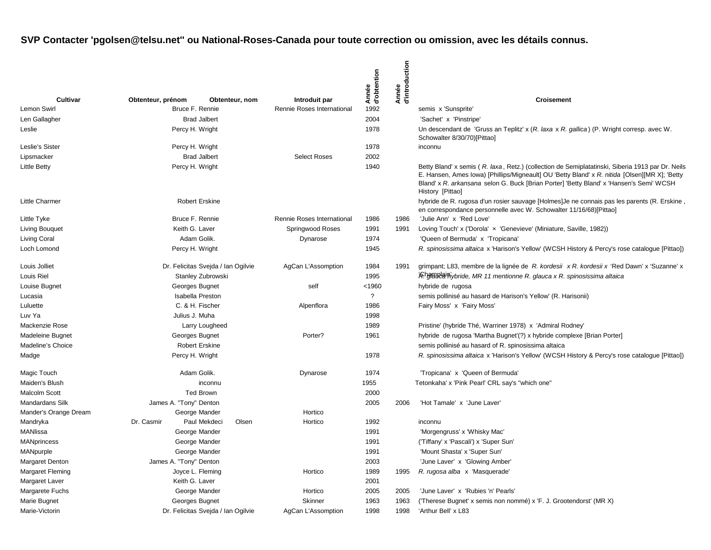| Cultivar                |                                    |                                    |                                             | Année<br>d'obtention | d'introduction<br>Année | <b>Croisement</b>                                                                                                                                                                                                                                                                                                |
|-------------------------|------------------------------------|------------------------------------|---------------------------------------------|----------------------|-------------------------|------------------------------------------------------------------------------------------------------------------------------------------------------------------------------------------------------------------------------------------------------------------------------------------------------------------|
| <b>Lemon Swirl</b>      | Obtenteur, prénom                  | Obtenteur, nom<br>Bruce F. Rennie  | Introduit par<br>Rennie Roses International | 1992                 |                         | semis x 'Sunsprite'                                                                                                                                                                                                                                                                                              |
| Len Gallagher           |                                    | <b>Brad Jalbert</b>                |                                             | 2004                 |                         | 'Sachet' x 'Pinstripe'                                                                                                                                                                                                                                                                                           |
| Leslie                  | Percy H. Wright                    |                                    |                                             | 1978                 |                         | Un descendant de 'Gruss an Teplitz' x (R. laxa x R. gallica) (P. Wright corresp. avec W.<br>Schowalter 8/30/70)[Pittao]                                                                                                                                                                                          |
| Leslie's Sister         | Percy H. Wright                    |                                    |                                             | 1978                 |                         | inconnu                                                                                                                                                                                                                                                                                                          |
| Lipsmacker              |                                    | <b>Brad Jalbert</b>                | <b>Select Roses</b>                         | 2002                 |                         |                                                                                                                                                                                                                                                                                                                  |
| <b>Little Betty</b>     | Percy H. Wright                    |                                    |                                             | 1940                 |                         | Betty Bland' x semis (R. laxa, Retz.) (collection de Semiplatatinski, Siberia 1913 par Dr. Neils<br>E. Hansen, Ames Iowa) [Phillips/Migneault] OU 'Betty Bland' x R. nitida [Olsen][MR X]; 'Betty<br>Bland' x R. arkansana selon G. Buck [Brian Porter] 'Betty Bland' x 'Hansen's Semi' WCSH<br>History [Pittao] |
| <b>Little Charmer</b>   |                                    | <b>Robert Erskine</b>              |                                             |                      |                         | hybride de R. rugosa d'un rosier sauvage [Holmes] Je ne connais pas les parents (R. Erskine<br>en correspondance personnelle avec W. Schowalter 11/16/68)[Pittao]                                                                                                                                                |
| Little Tyke             |                                    | Bruce F. Rennie                    | Rennie Roses International                  | 1986                 | 1986                    | 'Julie Ann' x 'Red Love'                                                                                                                                                                                                                                                                                         |
| <b>Living Bouquet</b>   | Keith G. Laver                     |                                    | Springwood Roses                            | 1991                 | 1991                    | Loving Touch' x ('Dorola' x 'Genevieve' (Miniature, Saville, 1982))                                                                                                                                                                                                                                              |
| <b>Living Coral</b>     |                                    | Adam Golik.                        | Dynarose                                    | 1974                 |                         | 'Queen of Bermuda' x 'Tropicana'                                                                                                                                                                                                                                                                                 |
| Loch Lomond             |                                    | Percy H. Wright                    |                                             | 1945                 |                         | R. spinosissima altaica x 'Harison's Yellow' (WCSH History & Percy's rose catalogue [Pittao])                                                                                                                                                                                                                    |
| Louis Jolliet           | Dr. Felicitas Svejda / Ian Ogilvie |                                    | AgCan L'Assomption                          | 1984                 | 1991                    | grimpant; L83, membre de la lignée de R. kordesii $x \, R$ . kordesii $x$ 'Red Dawn' x 'Suzanne' x                                                                                                                                                                                                               |
| Louis Riel              | Stanley Zubrowski                  |                                    |                                             | 1995                 |                         | <i>f</i> Rhgmulain ybride, MR 11 mentionne R. glauca x R. spinosissima altaica                                                                                                                                                                                                                                   |
| Louise Bugnet           | Georges Bugnet                     |                                    | self                                        | $1960$               |                         | hybride de rugosa                                                                                                                                                                                                                                                                                                |
| Lucasia                 |                                    | <b>Isabella Preston</b>            |                                             | $\overline{?}$       |                         | semis pollinisé au hasard de Harison's Yellow' (R. Harisonii)                                                                                                                                                                                                                                                    |
| Luluette                |                                    | C. & H. Fischer                    | Alpenflora                                  | 1986                 |                         | Fairy Moss' x 'Fairy Moss'                                                                                                                                                                                                                                                                                       |
| Luv Ya                  | Julius J. Muha                     |                                    |                                             | 1998                 |                         |                                                                                                                                                                                                                                                                                                                  |
| Mackenzie Rose          |                                    | Larry Lougheed                     |                                             | 1989                 |                         | Pristine' (hybride Thé, Warriner 1978) x 'Admiral Rodney'                                                                                                                                                                                                                                                        |
| <b>Madeleine Bugnet</b> |                                    | Georges Bugnet                     | Porter?                                     | 1961                 |                         | hybride de rugosa 'Martha Bugnet'(?) x hybride complexe [Brian Porter]                                                                                                                                                                                                                                           |
| Madeline's Choice       |                                    | <b>Robert Erskine</b>              |                                             |                      |                         | semis pollinisé au hasard of R. spinosissima altaica                                                                                                                                                                                                                                                             |
| Madge                   |                                    | Percy H. Wright                    |                                             | 1978                 |                         | R. spinosissima altaica x 'Harison's Yellow' (WCSH History & Percy's rose catalogue [Pittao])                                                                                                                                                                                                                    |
| Magic Touch             |                                    | Adam Golik.                        | Dynarose                                    | 1974                 |                         | 'Tropicana' x 'Queen of Bermuda'                                                                                                                                                                                                                                                                                 |
| Maiden's Blush          |                                    | inconnu                            |                                             | 1955                 |                         | Tetonkaha' x 'Pink Pearl' CRL say's "which one"                                                                                                                                                                                                                                                                  |
| <b>Malcolm Scott</b>    |                                    | Ted Brown                          |                                             | 2000                 |                         |                                                                                                                                                                                                                                                                                                                  |
| <b>Mandardans Silk</b>  | James A. "Tony" Denton             |                                    |                                             | 2005                 | 2006                    | 'Hot Tamale' x 'June Laver'                                                                                                                                                                                                                                                                                      |
| Mander's Orange Dream   |                                    | George Mander                      | Hortico                                     |                      |                         |                                                                                                                                                                                                                                                                                                                  |
| Mandryka                | Dr. Casmir                         | Paul Mekdeci<br>Olsen              | Hortico                                     | 1992                 |                         | inconnu                                                                                                                                                                                                                                                                                                          |
| MANIissa                |                                    | George Mander                      |                                             | 1991                 |                         | 'Morgengruss' x 'Whisky Mac'                                                                                                                                                                                                                                                                                     |
| <b>MANprincess</b>      |                                    | George Mander                      |                                             | 1991                 |                         | ('Tiffany' x 'Pascali') x 'Super Sun'                                                                                                                                                                                                                                                                            |
| MANpurple               |                                    | George Mander                      |                                             | 1991                 |                         | 'Mount Shasta' x 'Super Sun'                                                                                                                                                                                                                                                                                     |
| <b>Margaret Denton</b>  | James A. "Tony" Denton             |                                    |                                             | 2003                 |                         | 'June Laver' x 'Glowing Amber'                                                                                                                                                                                                                                                                                   |
| <b>Margaret Fleming</b> |                                    | Joyce L. Fleming                   | Hortico                                     | 1989                 | 1995                    | R. rugosa alba x 'Masquerade'                                                                                                                                                                                                                                                                                    |
| Margaret Laver          | Keith G. Laver                     |                                    |                                             | 2001                 |                         |                                                                                                                                                                                                                                                                                                                  |
| Margarete Fuchs         |                                    | George Mander                      | Hortico                                     | 2005                 | 2005                    | 'June Laver' x 'Rubies 'n' Pearls'                                                                                                                                                                                                                                                                               |
| Marie Bugnet            |                                    | Georges Bugnet                     | Skinner                                     | 1963                 | 1963                    | ('Therese Bugnet' x semis non nommé) x 'F. J. Grootendorst' (MR X)                                                                                                                                                                                                                                               |
| Marie-Victorin          |                                    | Dr. Felicitas Svejda / Ian Ogilvie | AgCan L'Assomption                          | 1998                 | 1998                    | 'Arthur Bell' x L83                                                                                                                                                                                                                                                                                              |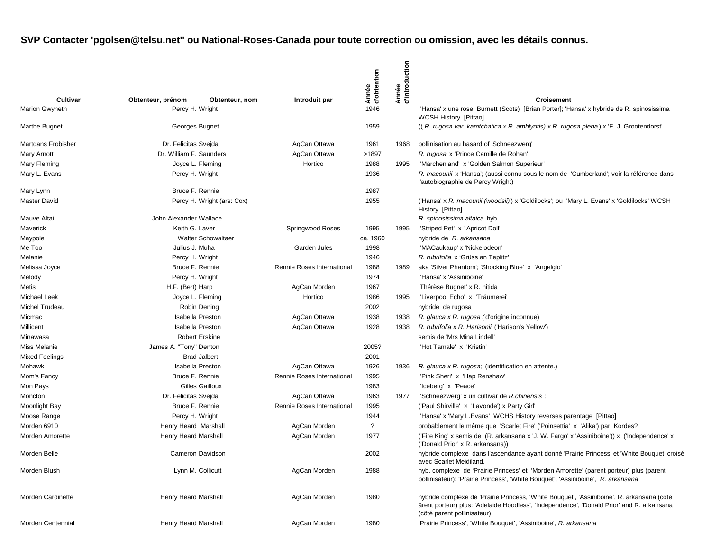| Cultivar                  | Obtenteur, prénom       | Obtenteur, nom             | Introduit par              | Année<br>d'obtention | d'introduction<br>Année | <b>Croisement</b>                                                                                                                                                                                                     |
|---------------------------|-------------------------|----------------------------|----------------------------|----------------------|-------------------------|-----------------------------------------------------------------------------------------------------------------------------------------------------------------------------------------------------------------------|
| <b>Marion Gwyneth</b>     | Percy H. Wright         |                            |                            | 1946                 |                         | 'Hansa' x une rose Burnett (Scots) [Brian Porter]; 'Hansa' x hybride de R. spinosissima                                                                                                                               |
| Marthe Bugnet             | Georges Bugnet          |                            |                            | 1959                 |                         | WCSH History [Pittao]<br>((R. rugosa var. kamtchatica x R. amblyotis) x R. rugosa plena) x 'F. J. Grootendorst'                                                                                                       |
| <b>Martdans Frobisher</b> | Dr. Felicitas Svejda    |                            | AgCan Ottawa               | 1961                 | 1968                    | pollinisation au hasard of 'Schneezwerg'                                                                                                                                                                              |
| Mary Arnott               | Dr. William F. Saunders |                            | AgCan Ottawa               | >1897                |                         | R. rugosa x 'Prince Camille de Rohan'                                                                                                                                                                                 |
| Mary Fleming              | Joyce L. Fleming        |                            | Hortico                    | 1988                 | 1995                    | 'Märchenland' x 'Golden Salmon Supérieur'                                                                                                                                                                             |
| Mary L. Evans             | Percy H. Wright         |                            |                            | 1936                 |                         | R. macounii x 'Hansa'; (aussi connu sous le nom de 'Cumberland'; voir la référence dans<br>l'autobiographie de Percy Wright)                                                                                          |
| Mary Lynn                 | Bruce F. Rennie         |                            |                            | 1987                 |                         |                                                                                                                                                                                                                       |
| <b>Master David</b>       |                         | Percy H. Wright (ars: Cox) |                            | 1955                 |                         | ('Hansa' x R. macounii (woodsii)) x 'Goldilocks'; ou 'Mary L. Evans' x 'Goldilocks' WCSH<br>History [Pittao]                                                                                                          |
| Mauve Altai               | John Alexander Wallace  |                            |                            |                      |                         | R. spinosissima altaica hyb.                                                                                                                                                                                          |
| Maverick                  | Keith G. Laver          |                            | Springwood Roses           | 1995                 | 1995                    | 'Striped Pet' x ' Apricot Doll'                                                                                                                                                                                       |
| Maypole                   |                         | <b>Walter Schowaltaer</b>  |                            | ca. 1960             |                         | hybride de R. arkansana                                                                                                                                                                                               |
| Me Too                    | Julius J. Muha          |                            | Garden Jules               | 1998                 |                         | 'MACaukaup' x 'Nickelodeon'                                                                                                                                                                                           |
| Melanie                   | Percy H. Wright         |                            |                            | 1946                 |                         | R. rubrifolia x 'Grüss an Teplitz'                                                                                                                                                                                    |
| Melissa Joyce             | Bruce F. Rennie         |                            | Rennie Roses International | 1988                 | 1989                    | aka 'Silver Phantom'; 'Shocking Blue' x 'Angelglo'                                                                                                                                                                    |
| Melody                    | Percy H. Wright         |                            |                            | 1974                 |                         | 'Hansa' x 'Assiniboine'                                                                                                                                                                                               |
| Metis                     | H.F. (Bert) Harp        |                            | AgCan Morden               | 1967                 |                         | 'Thérèse Bugnet' x R. nitida                                                                                                                                                                                          |
| <b>Michael Leek</b>       | Joyce L. Fleming        |                            | Hortico                    | 1986                 | 1995                    | 'Liverpool Echo' x 'Träumerei'                                                                                                                                                                                        |
| Michel Trudeau            |                         | Robin Dening               |                            | 2002                 |                         | hybride de rugosa                                                                                                                                                                                                     |
| Micmac                    | <b>Isabella Preston</b> |                            | AgCan Ottawa               | 1938                 | 1938                    | R. glauca x R. rugosa (d'origine inconnue)                                                                                                                                                                            |
| Millicent                 | <b>Isabella Preston</b> |                            | AgCan Ottawa               | 1928                 | 1938                    | R. rubrifolia x R. Harisonii ('Harison's Yellow')                                                                                                                                                                     |
| Minawasa                  | <b>Robert Erskine</b>   |                            |                            |                      |                         | semis de 'Mrs Mina Lindell'                                                                                                                                                                                           |
| Miss Melanie              | James A. "Tony" Denton  |                            |                            | 2005?                |                         | 'Hot Tamale' x 'Kristin'                                                                                                                                                                                              |
| <b>Mixed Feelings</b>     |                         | <b>Brad Jalbert</b>        |                            | 2001                 |                         |                                                                                                                                                                                                                       |
| Mohawk                    | <b>Isabella Preston</b> |                            | AgCan Ottawa               | 1926                 | 1936                    | R. glauca x R. rugosa; (identification en attente.)                                                                                                                                                                   |
| Mom's Fancy               | Bruce F. Rennie         |                            | Rennie Roses International | 1995                 |                         | 'Pink Sheri' x 'Hap Renshaw'                                                                                                                                                                                          |
| Mon Pays                  |                         | Gilles Gailloux            |                            | 1983                 |                         | 'Iceberg' x 'Peace'                                                                                                                                                                                                   |
| Moncton                   | Dr. Felicitas Svejda    |                            | AgCan Ottawa               | 1963                 | 1977                    | 'Schneezwerg' x un cultivar de R.chinensis;                                                                                                                                                                           |
| <b>Moonlight Bay</b>      | Bruce F. Rennie         |                            | Rennie Roses International | 1995                 |                         | ('Paul Shirville' x 'Lavonde') x Party Girl'                                                                                                                                                                          |
| Moose Range               | Percy H. Wright         |                            |                            | 1944                 |                         | 'Hansa' x 'Mary L. Evans' WCHS History reverses parentage [Pittao]                                                                                                                                                    |
| Morden 6910               | Henry Heard Marshall    |                            | AgCan Morden               | ?                    |                         | probablement le même que 'Scarlet Fire' ('Poinsettia' x 'Alika') par Kordes?                                                                                                                                          |
| Morden Amorette           | Henry Heard Marshall    |                            | AgCan Morden               | 1977                 |                         | ('Fire King' x semis de (R. arkansana x 'J. W. Fargo' x 'Assiniboine')) x ('Independence' x<br>('Donald Prior' x R. arkansana))                                                                                       |
| Morden Belle              | Cameron Davidson        |                            |                            | 2002                 |                         | hybride complexe dans l'ascendance ayant donné 'Prairie Princess' et 'White Bouquet' croisé<br>avec Scarlet Meidiland.                                                                                                |
| Morden Blush              | Lynn M. Collicutt       |                            | AgCan Morden               | 1988                 |                         | hyb. complexe de 'Prairie Princess' et 'Morden Amorette' (parent porteur) plus (parent<br>pollinisateur): 'Prairie Princess', 'White Bouquet', 'Assiniboine', R. arkansana                                            |
| Morden Cardinette         | Henry Heard Marshall    |                            | AgCan Morden               | 1980                 |                         | hybride complexe de 'Prairie Princess, 'White Bouquet', 'Assiniboine', R. arkansana (côté<br>ârent porteur) plus: 'Adelaide Hoodless', 'Independence', 'Donald Prior' and R. arkansana<br>(côté parent pollinisateur) |
| Morden Centennial         | Henry Heard Marshall    |                            | AgCan Morden               | 1980                 |                         | 'Prairie Princess', 'White Bouquet', 'Assiniboine', R. arkansana                                                                                                                                                      |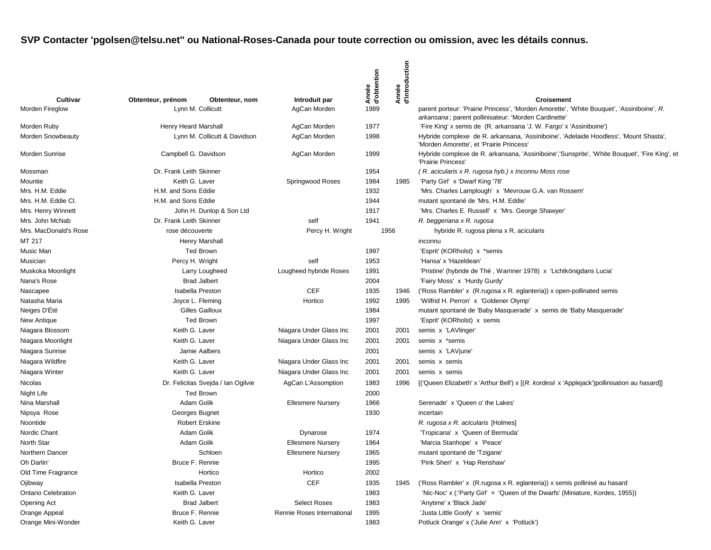| Cultivar                   | Obtenteur, prénom<br>Obtenteur, nom | Introduit par              | Année<br>d'obtention | Année<br>d'introduction | <b>Croisement</b>                                                                                                                                 |
|----------------------------|-------------------------------------|----------------------------|----------------------|-------------------------|---------------------------------------------------------------------------------------------------------------------------------------------------|
| Morden Fireglow            | Lynn M. Collicutt                   | AgCan Morden               | 1989                 |                         | parent porteur: 'Prairie Princess', 'Morden Amorette', 'White Bouquet', 'Assiniboine', R.<br>arkansana; parent pollinisateur: 'Morden Cardinette' |
| Morden Ruby                | Henry Heard Marshall                | AgCan Morden               | 1977                 |                         | 'Fire King' x semis de (R. arkansana 'J. W. Fargo' x 'Assiniboine')                                                                               |
| Morden Snowbeauty          | Lynn M. Collicutt & Davidson        | AgCan Morden               | 1998                 |                         | Hybride complexe de R. arkansana, 'Assiniboine', 'Adelaide Hoodless', 'Mount Shasta',<br>'Morden Amorette', et 'Prairie Princess'                 |
| Morden Sunrise             | Campbell G. Davidson                | AgCan Morden               | 1999                 |                         | Hybride complexe de R. arkansana, 'Assiniboine','Sunsprite', 'White Bouquet', 'Fire King', et<br>'Prairie Princess'                               |
| Mossman                    | Dr. Frank Leith Skinner             |                            | 1954                 |                         | (R. acicularis x R. rugosa hyb.) x Inconnu Moss rose                                                                                              |
| Mountie                    | Keith G. Laver                      | Springwood Roses           | 1984                 | 1985                    | 'Party Girl' x 'Dwarf King '78'                                                                                                                   |
| Mrs. H.M. Eddie            | H.M. and Sons Eddie                 |                            | 1932                 |                         | 'Mrs. Charles Lamplough' x 'Mevrouw G.A. van Rossem'                                                                                              |
| Mrs. H.M. Eddie Cl.        | H.M. and Sons Eddie                 |                            | 1944                 |                         | mutant spontané de 'Mrs. H.M. Eddie'                                                                                                              |
| Mrs. Henry Winnett         | John H. Dunlop & Son Ltd            |                            | 1917                 |                         | 'Mrs. Charles E. Russell' x 'Mrs. George Shawyer'                                                                                                 |
| Mrs. John McNab            | Dr. Frank Leith Skinner             | self                       | 1941                 |                         | R. beggeriana x R. rugosa                                                                                                                         |
| Mrs. MacDonald's Rose      | rose découverte                     | Percy H. Wright            |                      | 1956                    | hybride R. rugosa plena x R, acicularis                                                                                                           |
| MT 217                     | Henry Marshall                      |                            |                      |                         | inconnu                                                                                                                                           |
| Music Man                  | <b>Ted Brown</b>                    |                            | 1997                 |                         | 'Esprit' (KORholst) x *semis                                                                                                                      |
| Musician                   | Percy H. Wright                     | self                       | 1953                 |                         | 'Hansa' x 'Hazeldean'                                                                                                                             |
| Muskoka Moonlight          | Larry Lougheed                      | Lougheed hybride Roses     | 1991                 |                         | 'Pristine' (hybride de Thé, Warriner 1978) x 'Lichtkönigdans Lucia'                                                                               |
| Nana's Rose                | <b>Brad Jalbert</b>                 |                            | 2004                 |                         | 'Fairy Moss' x 'Hurdy Gurdy'                                                                                                                      |
| Nascapee                   | <b>Isabella Preston</b>             | <b>CEF</b>                 | 1935                 | 1946                    | ('Ross Rambler' x (R. rugosa x R. eglanteria)) x open-pollinated semis                                                                            |
| Natasha Maria              | Joyce L. Fleming                    | Hortico                    | 1992                 | 1995                    | 'Wilfrid H. Perron' x 'Goldener Olymp'                                                                                                            |
| Neiges D'Été               | <b>Gilles Gailloux</b>              |                            | 1984                 |                         | mutant spontané de 'Baby Masquerade' x semis de 'Baby Masquerade'                                                                                 |
| New Antique                | <b>Ted Brown</b>                    |                            | 1997                 |                         | 'Esprit' (KORholst) x semis                                                                                                                       |
| Niagara Blossom            | Keith G. Laver                      | Niagara Under Glass Inc    | 2001                 | 2001                    | semis x 'LAVlinger'                                                                                                                               |
| Niagara Moonlight          | Keith G. Laver                      | Niagara Under Glass Inc    | 2001                 | 2001                    | semis x *semis                                                                                                                                    |
| Niagara Sunrise            | Jamie Aalbers                       |                            | 2001                 |                         | semis x 'LAVjune'                                                                                                                                 |
| Niagara Wildfire           | Keith G. Laver                      | Niagara Under Glass Inc    | 2001                 | 2001                    | semis x semis                                                                                                                                     |
| Niagara Winter             | Keith G. Laver                      | Niagara Under Glass Inc    | 2001                 | 2001                    | semis x semis                                                                                                                                     |
| Nicolas                    | Dr. Felicitas Svejda / Ian Ogilvie  | AgCan L'Assomption         | 1983                 | 1996                    | [('Queen Elizabeth' x 'Arthur Bell') x [(R. kordesii x 'Applejack')pollinisation au hasard]]                                                      |
| Night Life                 | <b>Ted Brown</b>                    |                            | 2000                 |                         |                                                                                                                                                   |
| Nina Marshall              | Adam Golik                          | <b>Ellesmere Nursery</b>   | 1966                 |                         | Serenade' x 'Queen o' the Lakes'                                                                                                                  |
| Nipsya Rose                | Georges Bugnet                      |                            | 1930                 |                         | incertain                                                                                                                                         |
| Noontide                   | <b>Robert Erskine</b>               |                            |                      |                         | R. rugosa x R. acicularis [Holmes]                                                                                                                |
| Nordic Chant               | Adam Golik                          | Dynarose                   | 1974                 |                         | 'Tropicana' x 'Queen of Bermuda'                                                                                                                  |
| North Star                 | Adam Golik                          | <b>Ellesmere Nursery</b>   | 1964                 |                         | 'Marcia Stanhope' x 'Peace'                                                                                                                       |
| Northern Dancer            | Schloen                             | <b>Ellesmere Nursery</b>   | 1965                 |                         | mutant spontané de 'Tzigane'                                                                                                                      |
| Oh Darlin'                 | Bruce F. Rennie                     |                            | 1995                 |                         | 'Pink Sheri' x 'Hap Renshaw'                                                                                                                      |
| Old Time Fragrance         | Hortico                             | Hortico                    | 2002                 |                         |                                                                                                                                                   |
| Ojibway                    | <b>Isabella Preston</b>             | CEF                        | 1935                 | 1945                    | ('Ross Rambler' x (R. rugosa x R. eglanteria)) x semis pollinisé au hasard                                                                        |
| <b>Ontario Celebration</b> | Keith G. Laver                      |                            | 1983                 |                         | 'Nic-Noc' x (:'Party Girl' x 'Queen of the Dwarfs' (Miniature, Kordes, 1955))                                                                     |
| Opening Act                | <b>Brad Jalbert</b>                 | <b>Select Roses</b>        | 1983                 |                         | 'Anytime' x 'Black Jade'                                                                                                                          |
| Orange Appeal              | Bruce F. Rennie                     | Rennie Roses International | 1995                 |                         | 'Justa Little Goofy' x 'semis'                                                                                                                    |
| Orange Mini-Wonder         | Keith G. Laver                      |                            | 1983                 |                         | Potluck Orange' x ('Julie Ann' x 'Potluck')                                                                                                       |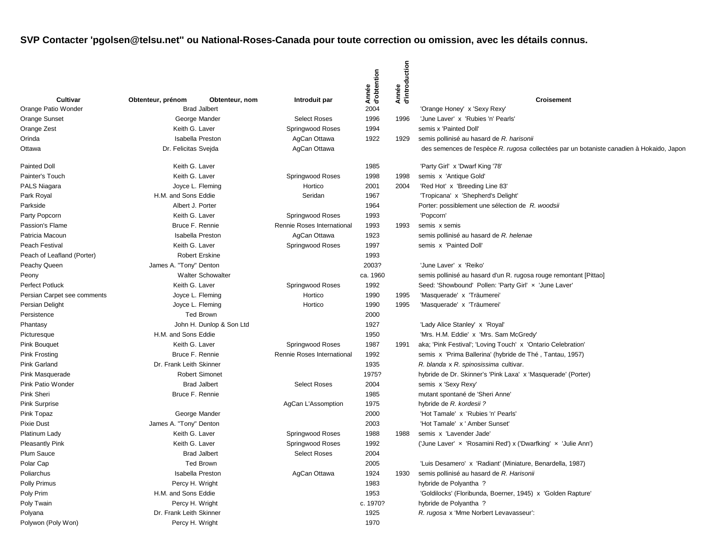|                             |                          |                          |                            | Année<br>d'obtention | Année<br>d'introduction |                                                                                          |
|-----------------------------|--------------------------|--------------------------|----------------------------|----------------------|-------------------------|------------------------------------------------------------------------------------------|
| Cultivar                    | Obtenteur, prénom        | Obtenteur, nom           | Introduit par              |                      |                         | <b>Croisement</b>                                                                        |
| Orange Patio Wonder         |                          | <b>Brad Jalbert</b>      |                            | 2004                 |                         | 'Orange Honey' x 'Sexy Rexy'                                                             |
| Orange Sunset               |                          | George Mander            | <b>Select Roses</b>        | 1996                 | 1996                    | 'June Laver' x 'Rubies 'n' Pearls'                                                       |
| Orange Zest                 | Keith G. Laver           |                          | Springwood Roses           | 1994                 |                         | semis x 'Painted Doll'                                                                   |
| Orinda                      |                          | Isabella Preston         | AgCan Ottawa               | 1922                 | 1929                    | semis pollinisé au hasard de R. harisonii                                                |
| Ottawa                      | Dr. Felicitas Svejda     |                          | AgCan Ottawa               |                      |                         | des semences de l'espèce R. rugosa collectées par un botaniste canadien à Hokaido, Japon |
| <b>Painted Doll</b>         | Keith G. Laver           |                          |                            | 1985                 |                         | 'Party Girl' x 'Dwarf King '78'                                                          |
| Painter's Touch             | Keith G. Laver           |                          | Springwood Roses           | 1998                 | 1998                    | semis x 'Antique Gold'                                                                   |
| PALS Niagara                |                          | Joyce L. Fleming         | Hortico                    | 2001                 | 2004                    | 'Red Hot' x 'Breeding Line 83'                                                           |
| Park Royal                  | H.M. and Sons Eddie      |                          | Seridan                    | 1967                 |                         | 'Tropicana' x 'Shepherd's Delight'                                                       |
| Parkside                    | Albert J. Porter         |                          |                            | 1964                 |                         | Porter: possiblement une sélection de R. woodsii                                         |
| Party Popcorn               | Keith G. Laver           |                          | Springwood Roses           | 1993                 |                         | 'Popcorn'                                                                                |
| Passion's Flame             | Bruce F. Rennie          |                          | Rennie Roses International | 1993                 | 1993                    | semis x semis                                                                            |
| Patricia Macoun             |                          | <b>Isabella Preston</b>  | AgCan Ottawa               | 1923                 |                         | semis pollinisé au hasard de R. helenae                                                  |
| Peach Festival              | Keith G. Laver           |                          | Springwood Roses           | 1997                 |                         | semis x 'Painted Doll'                                                                   |
| Peach of Leafland (Porter)  |                          | <b>Robert Erskine</b>    |                            | 1993                 |                         |                                                                                          |
| Peachy Queen                | James A. "Tony" Denton   |                          |                            | 2003?                |                         | 'June Laver' x 'Reiko'                                                                   |
| Peony                       | <b>Walter Schowalter</b> |                          |                            | ca. 1960             |                         | semis pollinisé au hasard d'un R. rugosa rouge remontant [Pittao]                        |
| <b>Perfect Potluck</b>      | Keith G. Laver           |                          | Springwood Roses           | 1992                 |                         | Seed: 'Showbound' Pollen: 'Party Girl' x 'June Laver'                                    |
| Persian Carpet see comments |                          | Joyce L. Fleming         | Hortico                    | 1990                 | 1995                    | 'Masquerade' x 'Träumerei'                                                               |
| Persian Delight             |                          | Joyce L. Fleming         | Hortico                    | 1990                 | 1995                    | 'Masquerade' x 'Träumerei'                                                               |
| Persistence                 |                          | <b>Ted Brown</b>         |                            | 2000                 |                         |                                                                                          |
| Phantasy                    |                          | John H. Dunlop & Son Ltd |                            | 1927                 |                         | 'Lady Alice Stanley' x 'Royal'                                                           |
| Picturesque                 | H.M. and Sons Eddie      |                          |                            | 1950                 |                         | 'Mrs. H.M. Eddie' x 'Mrs. Sam McGredy'                                                   |
| <b>Pink Bouquet</b>         | Keith G. Laver           |                          | Springwood Roses           | 1987                 | 1991                    | aka; 'Pink Festival'; 'Loving Touch' x 'Ontario Celebration'                             |
| <b>Pink Frosting</b>        | Bruce F. Rennie          |                          | Rennie Roses International | 1992                 |                         | semis x 'Prima Ballerina' (hybride de Thé, Tantau, 1957)                                 |
| Pink Garland                | Dr. Frank Leith Skinner  |                          |                            | 1935                 |                         | R. blanda x R. spinosissima cultivar.                                                    |
| Pink Masquerade             |                          | <b>Robert Simonet</b>    |                            | 1975?                |                         | hybride de Dr. Skinner's 'Pink Laxa' x 'Masquerade' (Porter)                             |
| Pink Patio Wonder           |                          | <b>Brad Jalbert</b>      | <b>Select Roses</b>        | 2004                 |                         | semis x 'Sexy Rexy'                                                                      |
| Pink Sheri                  | Bruce F. Rennie          |                          |                            | 1985                 |                         | mutant spontané de 'Sheri Anne'                                                          |
| <b>Pink Surprise</b>        |                          |                          | AgCan L'Assomption         | 1975                 |                         | hybride de R. kordesii ?                                                                 |
| Pink Topaz                  |                          | George Mander            |                            | 2000                 |                         | 'Hot Tamale' x 'Rubies 'n' Pearls'                                                       |
| <b>Pixie Dust</b>           | James A. "Tony" Denton   |                          |                            | 2003                 |                         | 'Hot Tamale' x ' Amber Sunset'                                                           |
| Platinum Lady               | Keith G. Laver           |                          | Springwood Roses           | 1988                 | 1988                    | semis x 'Lavender Jade'                                                                  |
| <b>Pleasantly Pink</b>      | Keith G. Laver           |                          | Springwood Roses           | 1992                 |                         | ('June Laver' x 'Rosamini Red') x ('Dwarfking' x 'Julie Ann')                            |
| Plum Sauce                  |                          | <b>Brad Jalbert</b>      | <b>Select Roses</b>        | 2004                 |                         |                                                                                          |
| Polar Cap                   |                          | <b>Ted Brown</b>         |                            | 2005                 |                         | 'Luis Desamero' x 'Radiant' (Miniature, Benardella, 1987)                                |
| Poliarchus                  |                          | <b>Isabella Preston</b>  | AgCan Ottawa               | 1924                 | 1930                    | semis pollinisé au hasard de R. Harisonii                                                |
| <b>Polly Primus</b>         | Percy H. Wright          |                          |                            | 1983                 |                         | hybride de Polyantha?                                                                    |
| Poly Prim                   | H.M. and Sons Eddie      |                          |                            | 1953                 |                         | 'Goldilocks' (Floribunda, Boerner, 1945) x 'Golden Rapture'                              |
| Poly Twain                  | Percy H. Wright          |                          |                            | c. 1970?             |                         | hybride de Polyantha ?                                                                   |
| Polyana                     | Dr. Frank Leith Skinner  |                          |                            | 1925                 |                         | R. rugosa x 'Mme Norbert Levavasseur':                                                   |
| Polywon (Poly Won)          | Percy H. Wright          |                          |                            | 1970                 |                         |                                                                                          |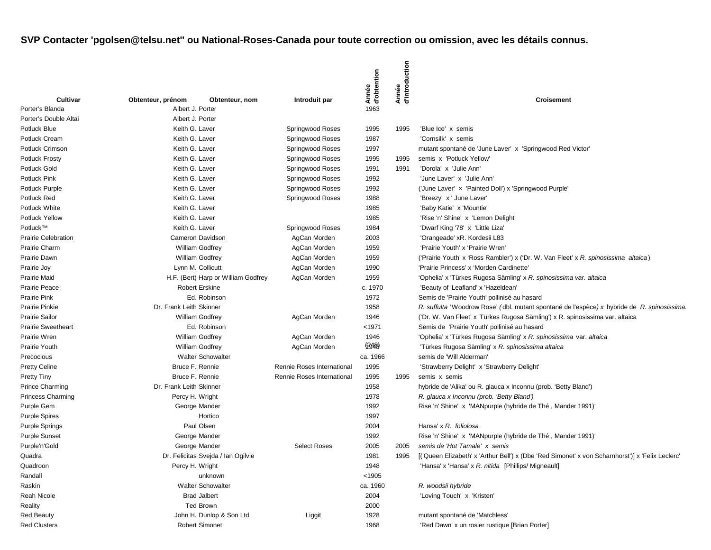|                            |                                     |                          |                            | Année<br>d'obtention | duction<br>Année<br>d'introc |                                                                                                 |
|----------------------------|-------------------------------------|--------------------------|----------------------------|----------------------|------------------------------|-------------------------------------------------------------------------------------------------|
| <b>Cultivar</b>            | Obtenteur, prénom                   | Obtenteur, nom           | Introduit par              |                      |                              | Croisement                                                                                      |
| Porter's Blanda            | Albert J. Porter                    |                          |                            | 1963                 |                              |                                                                                                 |
| Porter's Double Altai      | Albert J. Porter                    |                          |                            |                      |                              |                                                                                                 |
| Potluck Blue               | Keith G. Laver                      |                          | Springwood Roses           | 1995                 | 1995                         | 'Blue Ice' x semis                                                                              |
| Potluck Cream              | Keith G. Laver                      |                          | Springwood Roses           | 1987                 |                              | 'Cornsilk' x semis                                                                              |
| Potluck Crimson            | Keith G. Laver                      |                          | Springwood Roses           | 1997                 |                              | mutant spontané de 'June Laver' x 'Springwood Red Victor'                                       |
| <b>Potluck Frosty</b>      | Keith G. Laver                      |                          | Springwood Roses           | 1995                 | 1995                         | semis x 'Potluck Yellow'                                                                        |
| Potluck Gold               | Keith G. Laver                      |                          | Springwood Roses           | 1991                 | 1991                         | 'Dorola' x 'Julie Ann'                                                                          |
| <b>Potluck Pink</b>        | Keith G. Laver                      |                          | Springwood Roses           | 1992                 |                              | 'June Laver' x 'Julie Ann'                                                                      |
| Potluck Purple             | Keith G. Laver                      |                          | Springwood Roses           | 1992                 |                              | ('June Laver' x 'Painted Doll') x 'Springwood Purple'                                           |
| Potluck Red                | Keith G. Laver                      |                          | Springwood Roses           | 1988                 |                              | 'Breezy' x ' June Laver'                                                                        |
| Potluck White              | Keith G. Laver                      |                          |                            | 1985                 |                              | 'Baby Katie' x 'Mountie'                                                                        |
| <b>Potluck Yellow</b>      | Keith G. Laver                      |                          |                            | 1985                 |                              | 'Rise 'n' Shine' x 'Lemon Delight'                                                              |
| Potluck™                   | Keith G. Laver                      |                          | Springwood Roses           | 1984                 |                              | 'Dwarf King '78' x 'Little Liza'                                                                |
| <b>Prairie Celebration</b> | Cameron Davidson                    |                          | AgCan Morden               | 2003                 |                              | 'Orangeade' xR. Kordesii L83                                                                    |
| Prairie Charm              | <b>William Godfrey</b>              |                          | AgCan Morden               | 1959                 |                              | 'Prairie Youth' x 'Prairie Wren'                                                                |
| Prairie Dawn               | <b>William Godfrey</b>              |                          | AgCan Morden               | 1959                 |                              | ('Prairie Youth' x 'Ross Rambler') x ('Dr. W. Van Fleet' x R. spinosissima altaica)             |
| Prairie Joy                | Lynn M. Collicutt                   |                          | AgCan Morden               | 1990                 |                              | 'Prairie Princess' x 'Morden Cardinette'                                                        |
| <b>Prairie Maid</b>        | H.F. (Bert) Harp or William Godfrey |                          | AgCan Morden               | 1959                 |                              | 'Ophelia' x 'Türkes Rugosa Sämling' x R. spinosissima var. altaica                              |
| <b>Prairie Peace</b>       | <b>Robert Erskine</b>               |                          |                            | c. 1970              |                              | 'Beauty of 'Leafland' x 'Hazeldean'                                                             |
| <b>Prairie Pink</b>        | Ed. Robinson                        |                          |                            | 1972                 |                              | Semis de 'Prairie Youth' pollinisé au hasard                                                    |
| <b>Prairie Pinkie</b>      | Dr. Frank Leith Skinner             |                          |                            | 1958                 |                              | R. suffulta 'Woodrow Rose' (dbl. mutant spontané de l'espèce) x hybride de R. spinosissima.     |
| <b>Prairie Sailor</b>      | <b>William Godfrey</b>              |                          | AgCan Morden               | 1946                 |                              | ('Dr. W. Van Fleet' x 'Türkes Rugosa Sämling') x R. spinosissima var. altaica                   |
| <b>Prairie Sweetheart</b>  | Ed. Robinson                        |                          |                            | $1971$               |                              | Semis de 'Prairie Youth' pollinisé au hasard                                                    |
| Prairie Wren               | <b>William Godfrey</b>              |                          | AgCan Morden               | 1946                 |                              | 'Ophelia' x 'Türkes Rugosa Sämling' x R. spinosissima var. altaica                              |
| Prairie Youth              | <b>William Godfrey</b>              |                          | AgCan Morden               | (1348)               |                              | 'Türkes Rugosa Sämling' x R. spinosissima altaica                                               |
| Precocious                 | <b>Walter Schowalter</b>            |                          |                            | ca. 1966             |                              | semis de 'Will Alderman'                                                                        |
| <b>Pretty Celine</b>       | Bruce F. Rennie                     |                          | Rennie Roses International | 1995                 |                              | 'Strawberry Delight' x 'Strawberry Delight'                                                     |
| <b>Pretty Tiny</b>         |                                     | Bruce F. Rennie          |                            | 1995                 | 1995                         | semis x semis                                                                                   |
| <b>Prince Charming</b>     | Dr. Frank Leith Skinner             |                          | Rennie Roses International | 1958                 |                              | hybride de 'Alika' ou R. glauca x Inconnu (prob. 'Betty Bland')                                 |
| Princess Charming          | Percy H. Wright                     |                          |                            | 1978                 |                              | R. glauca x Inconnu (prob. 'Betty Bland')                                                       |
| Purple Gem                 |                                     | George Mander            |                            | 1992                 |                              | Rise 'n' Shine' x 'MANpurple (hybride de Thé, Mander 1991)'                                     |
| <b>Purple Spires</b>       |                                     | Hortico                  |                            | 1997                 |                              |                                                                                                 |
| <b>Purple Springs</b>      | Paul Olsen                          |                          |                            | 2004                 |                              | Hansa' x R. foliolosa                                                                           |
| <b>Purple Sunset</b>       | George Mander                       |                          |                            | 1992                 |                              | Rise 'n' Shine' x 'MANpurple (hybride de Thé, Mander 1991)'                                     |
| Purple'n'Gold              | George Mander                       |                          | <b>Select Roses</b>        | 2005                 | 2005                         | semis de 'Hot Tamale' x semis                                                                   |
| Quadra                     | Dr. Felicitas Svejda / Ian Ogilvie  |                          |                            | 1981                 | 1995                         | ['Queen Elizabeth' x 'Arthur Bell') x (Dbe 'Red Simonet' x von Scharnhorst')] x 'Felix Leclerc' |
| Quadroon                   | Percy H. Wright                     |                          |                            | 1948                 |                              | 'Hansa' x 'Hansa' x R. nitida [Phillips/ Migneault]                                             |
| Randall                    |                                     | unknown                  |                            | < 1905               |                              |                                                                                                 |
| Raskin                     | <b>Walter Schowalter</b>            |                          |                            | ca. 1960             |                              | R. woodsii hybride                                                                              |
| Reah Nicole                | <b>Brad Jalbert</b>                 |                          |                            | 2004                 |                              | 'Loving Touch' x 'Kristen'                                                                      |
| Reality                    | <b>Ted Brown</b>                    |                          |                            | 2000                 |                              |                                                                                                 |
| <b>Red Beauty</b>          |                                     | John H. Dunlop & Son Ltd |                            | 1928                 |                              | mutant spontané de 'Matchless'                                                                  |
| <b>Red Clusters</b>        | Robert Simonet                      |                          | Liggit                     | 1968                 |                              | 'Red Dawn' x un rosier rustique [Brian Porter]                                                  |
|                            |                                     |                          |                            |                      |                              |                                                                                                 |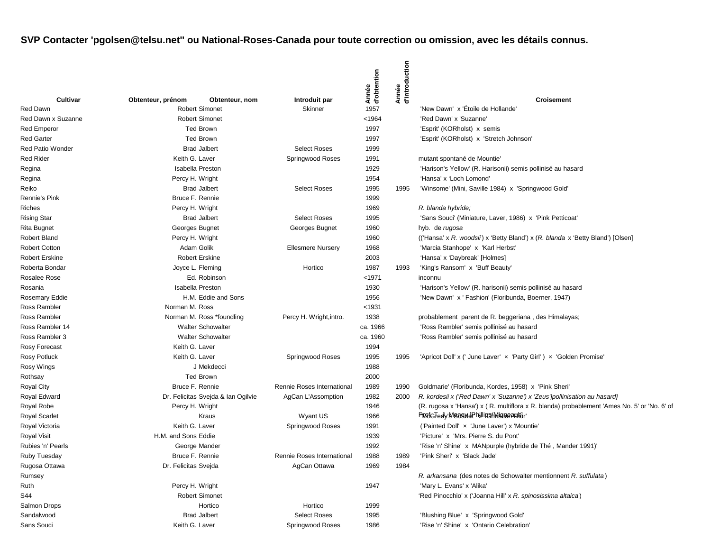| Red Dawn<br><b>Robert Simonet</b><br>1957<br>'New Dawn' x 'Étoile de Hollande'<br>Skinner<br><b>Robert Simonet</b><br>< 1964<br>'Red Dawn' x 'Suzanne'<br>Red Dawn x Suzanne<br>1997<br><b>Red Emperor</b><br><b>Ted Brown</b><br>'Esprit' (KORholst) x semis<br>1997<br><b>Red Garter</b><br><b>Ted Brown</b><br>'Esprit' (KORholst) x 'Stretch Johnson'<br><b>Brad Jalbert</b><br><b>Select Roses</b><br>1999<br><b>Red Patio Wonder</b><br>Keith G. Laver<br><b>Red Rider</b><br>Springwood Roses<br>1991<br>mutant spontané de Mountie<br><b>Isabella Preston</b><br>1929<br>'Harison's Yellow' (R. Harisonii) semis pollinisé au hasard<br>Regina<br>Regina<br>Percy H. Wright<br>1954<br>'Hansa' x 'Loch Lomond'<br>Reiko<br><b>Brad Jalbert</b><br><b>Select Roses</b><br>1995<br>'Winsome' (Mini, Saville 1984) x 'Springwood Gold'<br>1995<br>Bruce F. Rennie<br><b>Rennie's Pink</b><br>1999<br>Riches<br>Percy H. Wright<br>1969<br>R. blanda hybride;<br><b>Rising Star</b><br><b>Brad Jalbert</b><br><b>Select Roses</b><br>1995<br>'Sans Souci' (Miniature, Laver, 1986) x 'Pink Petticoat'<br>Georges Bugnet<br>Georges Bugnet<br>Rita Bugnet<br>1960<br>hyb. de rugosa<br>Robert Bland<br>Percy H. Wright<br>1960<br>(('Hansa' x R. woodsii) x 'Betty Bland') x (R. blanda x 'Betty Bland') [Olsen]<br>Adam Golik<br><b>Robert Cotton</b><br><b>Ellesmere Nursery</b><br>1968<br>'Marcia Stanhope' x 'Karl Herbst'<br><b>Robert Erskine</b><br>2003<br><b>Robert Erskine</b><br>'Hansa' x 'Daybreak' [Holmes]<br>Roberta Bondar<br>Joyce L. Fleming<br>Hortico<br>1987<br>1993<br>'King's Ransom' x 'Buff Beauty'<br>Ed. Robinson<br>$1971$<br>Rosalee Rose<br>inconnu<br><b>Isabella Preston</b><br>1930<br>'Harison's Yellow' (R. harisonii) semis pollinisé au hasard<br>Rosania<br>H.M. Eddie and Sons<br>'New Dawn' x ' Fashion' (Floribunda, Boerner, 1947)<br>Rosemary Eddie<br>1956<br>Norman M. Ross<br>< 1931<br>Ross Rambler<br>1938<br>probablement parent de R. beggeriana, des Himalayas;<br>Ross Rambler<br>Norman M. Ross *foundling<br>Percy H. Wright, intro.<br>Ross Rambler 14<br><b>Walter Schowalter</b><br>ca. 1966<br>'Ross Rambler' semis pollinisé au hasard<br><b>Walter Schowalter</b><br>ca. 1960<br>Ross Rambler 3<br>'Ross Rambler' semis pollinisé au hasard<br>1994<br>Rosy Forecast<br>Keith G. Laver<br>Keith G. Laver<br>Rosy Potluck<br>Springwood Roses<br>1995<br>1995<br>'Apricot Doll' x (' June Laver' x 'Party Girl') x 'Golden Promise'<br>1988<br>Rosy Wings<br>J Mekdecci<br><b>Ted Brown</b><br>2000<br>Rothsay<br>Bruce F. Rennie<br>1989<br><b>Royal City</b><br>Rennie Roses International<br>1990<br>Goldmarie' (Floribunda, Kordes, 1958) x 'Pink Sheri'<br>Dr. Felicitas Svejda & Ian Ogilvie<br>1982<br>Royal Edward<br>AgCan L'Assomption<br>2000<br>R. kordesii x ('Red Dawn' x 'Suzanne') x 'Zeus']pollinisation au hasard}<br>Royal Robe<br>Percy H. Wright<br>1946<br>(R. rugosa x 'Hansa') x (R. multiflora x R. blanda) probablement 'Ames No. 5' or 'No. 6' of<br>PropEGTedy'S BeandPhillips A Mismanapolity'<br><b>Royal Scarlet</b><br>Kraus<br>Wyant US<br>1966<br>Royal Victoria<br>Keith G. Laver<br>('Painted Doll' x 'June Laver') x 'Mountie'<br>Springwood Roses<br>1991<br>H.M. and Sons Eddie<br>'Picture' x 'Mrs. Pierre S. du Pont'<br><b>Royal Visit</b><br>1939<br>1992<br>George Mander<br>'Rise 'n' Shine' x MANpurple (hybride de Thé, Mander 1991)'<br>Bruce F. Rennie<br>1988<br>'Pink Sheri' x 'Black Jade'<br>Ruby Tuesday<br>Rennie Roses International<br>1989<br>Rugosa Ottawa<br>1984<br>Dr. Felicitas Svejda<br>AgCan Ottawa<br>1969<br>Rumsey<br>R. arkansana (des notes de Schowalter mentionnent R. suffulata)<br>Percy H. Wright<br>1947<br>'Mary L. Evans' x 'Alika'<br><b>Robert Simonet</b><br>'Red Pinocchio' x ('Joanna Hill' x R. spinosissima altaica)<br>Salmon Drops<br>Hortico<br>Hortico<br>1999<br><b>Brad Jalbert</b><br><b>Select Roses</b><br>'Blushing Blue' x 'Springwood Gold'<br>1995<br>Keith G. Laver<br>1986<br>'Rise 'n' Shine' x 'Ontario Celebration'<br>Springwood Roses |                   |                   |                |               | Année<br>d'obtention | Année<br>d'introduction |                   |
|-----------------------------------------------------------------------------------------------------------------------------------------------------------------------------------------------------------------------------------------------------------------------------------------------------------------------------------------------------------------------------------------------------------------------------------------------------------------------------------------------------------------------------------------------------------------------------------------------------------------------------------------------------------------------------------------------------------------------------------------------------------------------------------------------------------------------------------------------------------------------------------------------------------------------------------------------------------------------------------------------------------------------------------------------------------------------------------------------------------------------------------------------------------------------------------------------------------------------------------------------------------------------------------------------------------------------------------------------------------------------------------------------------------------------------------------------------------------------------------------------------------------------------------------------------------------------------------------------------------------------------------------------------------------------------------------------------------------------------------------------------------------------------------------------------------------------------------------------------------------------------------------------------------------------------------------------------------------------------------------------------------------------------------------------------------------------------------------------------------------------------------------------------------------------------------------------------------------------------------------------------------------------------------------------------------------------------------------------------------------------------------------------------------------------------------------------------------------------------------------------------------------------------------------------------------------------------------------------------------------------------------------------------------------------------------------------------------------------------------------------------------------------------------------------------------------------------------------------------------------------------------------------------------------------------------------------------------------------------------------------------------------------------------------------------------------------------------------------------------------------------------------------------------------------------------------------------------------------------------------------------------------------------------------------------------------------------------------------------------------------------------------------------------------------------------------------------------------------------------------------------------------------------------------------------------------------------------------------------------------------------------------------------------------------------------------------------------------------------------------------------------------------------------------------------------------------------------------------------------------------------------------------------------------------------------------------------------------------------------------------------------------------------------------------------------------------------------------------------------------|-------------------|-------------------|----------------|---------------|----------------------|-------------------------|-------------------|
|                                                                                                                                                                                                                                                                                                                                                                                                                                                                                                                                                                                                                                                                                                                                                                                                                                                                                                                                                                                                                                                                                                                                                                                                                                                                                                                                                                                                                                                                                                                                                                                                                                                                                                                                                                                                                                                                                                                                                                                                                                                                                                                                                                                                                                                                                                                                                                                                                                                                                                                                                                                                                                                                                                                                                                                                                                                                                                                                                                                                                                                                                                                                                                                                                                                                                                                                                                                                                                                                                                                                                                                                                                                                                                                                                                                                                                                                                                                                                                                                                                                                                                                 | Cultivar          | Obtenteur, prénom | Obtenteur, nom | Introduit par |                      |                         | <b>Croisement</b> |
|                                                                                                                                                                                                                                                                                                                                                                                                                                                                                                                                                                                                                                                                                                                                                                                                                                                                                                                                                                                                                                                                                                                                                                                                                                                                                                                                                                                                                                                                                                                                                                                                                                                                                                                                                                                                                                                                                                                                                                                                                                                                                                                                                                                                                                                                                                                                                                                                                                                                                                                                                                                                                                                                                                                                                                                                                                                                                                                                                                                                                                                                                                                                                                                                                                                                                                                                                                                                                                                                                                                                                                                                                                                                                                                                                                                                                                                                                                                                                                                                                                                                                                                 |                   |                   |                |               |                      |                         |                   |
|                                                                                                                                                                                                                                                                                                                                                                                                                                                                                                                                                                                                                                                                                                                                                                                                                                                                                                                                                                                                                                                                                                                                                                                                                                                                                                                                                                                                                                                                                                                                                                                                                                                                                                                                                                                                                                                                                                                                                                                                                                                                                                                                                                                                                                                                                                                                                                                                                                                                                                                                                                                                                                                                                                                                                                                                                                                                                                                                                                                                                                                                                                                                                                                                                                                                                                                                                                                                                                                                                                                                                                                                                                                                                                                                                                                                                                                                                                                                                                                                                                                                                                                 |                   |                   |                |               |                      |                         |                   |
|                                                                                                                                                                                                                                                                                                                                                                                                                                                                                                                                                                                                                                                                                                                                                                                                                                                                                                                                                                                                                                                                                                                                                                                                                                                                                                                                                                                                                                                                                                                                                                                                                                                                                                                                                                                                                                                                                                                                                                                                                                                                                                                                                                                                                                                                                                                                                                                                                                                                                                                                                                                                                                                                                                                                                                                                                                                                                                                                                                                                                                                                                                                                                                                                                                                                                                                                                                                                                                                                                                                                                                                                                                                                                                                                                                                                                                                                                                                                                                                                                                                                                                                 |                   |                   |                |               |                      |                         |                   |
|                                                                                                                                                                                                                                                                                                                                                                                                                                                                                                                                                                                                                                                                                                                                                                                                                                                                                                                                                                                                                                                                                                                                                                                                                                                                                                                                                                                                                                                                                                                                                                                                                                                                                                                                                                                                                                                                                                                                                                                                                                                                                                                                                                                                                                                                                                                                                                                                                                                                                                                                                                                                                                                                                                                                                                                                                                                                                                                                                                                                                                                                                                                                                                                                                                                                                                                                                                                                                                                                                                                                                                                                                                                                                                                                                                                                                                                                                                                                                                                                                                                                                                                 |                   |                   |                |               |                      |                         |                   |
|                                                                                                                                                                                                                                                                                                                                                                                                                                                                                                                                                                                                                                                                                                                                                                                                                                                                                                                                                                                                                                                                                                                                                                                                                                                                                                                                                                                                                                                                                                                                                                                                                                                                                                                                                                                                                                                                                                                                                                                                                                                                                                                                                                                                                                                                                                                                                                                                                                                                                                                                                                                                                                                                                                                                                                                                                                                                                                                                                                                                                                                                                                                                                                                                                                                                                                                                                                                                                                                                                                                                                                                                                                                                                                                                                                                                                                                                                                                                                                                                                                                                                                                 |                   |                   |                |               |                      |                         |                   |
|                                                                                                                                                                                                                                                                                                                                                                                                                                                                                                                                                                                                                                                                                                                                                                                                                                                                                                                                                                                                                                                                                                                                                                                                                                                                                                                                                                                                                                                                                                                                                                                                                                                                                                                                                                                                                                                                                                                                                                                                                                                                                                                                                                                                                                                                                                                                                                                                                                                                                                                                                                                                                                                                                                                                                                                                                                                                                                                                                                                                                                                                                                                                                                                                                                                                                                                                                                                                                                                                                                                                                                                                                                                                                                                                                                                                                                                                                                                                                                                                                                                                                                                 |                   |                   |                |               |                      |                         |                   |
|                                                                                                                                                                                                                                                                                                                                                                                                                                                                                                                                                                                                                                                                                                                                                                                                                                                                                                                                                                                                                                                                                                                                                                                                                                                                                                                                                                                                                                                                                                                                                                                                                                                                                                                                                                                                                                                                                                                                                                                                                                                                                                                                                                                                                                                                                                                                                                                                                                                                                                                                                                                                                                                                                                                                                                                                                                                                                                                                                                                                                                                                                                                                                                                                                                                                                                                                                                                                                                                                                                                                                                                                                                                                                                                                                                                                                                                                                                                                                                                                                                                                                                                 |                   |                   |                |               |                      |                         |                   |
|                                                                                                                                                                                                                                                                                                                                                                                                                                                                                                                                                                                                                                                                                                                                                                                                                                                                                                                                                                                                                                                                                                                                                                                                                                                                                                                                                                                                                                                                                                                                                                                                                                                                                                                                                                                                                                                                                                                                                                                                                                                                                                                                                                                                                                                                                                                                                                                                                                                                                                                                                                                                                                                                                                                                                                                                                                                                                                                                                                                                                                                                                                                                                                                                                                                                                                                                                                                                                                                                                                                                                                                                                                                                                                                                                                                                                                                                                                                                                                                                                                                                                                                 |                   |                   |                |               |                      |                         |                   |
|                                                                                                                                                                                                                                                                                                                                                                                                                                                                                                                                                                                                                                                                                                                                                                                                                                                                                                                                                                                                                                                                                                                                                                                                                                                                                                                                                                                                                                                                                                                                                                                                                                                                                                                                                                                                                                                                                                                                                                                                                                                                                                                                                                                                                                                                                                                                                                                                                                                                                                                                                                                                                                                                                                                                                                                                                                                                                                                                                                                                                                                                                                                                                                                                                                                                                                                                                                                                                                                                                                                                                                                                                                                                                                                                                                                                                                                                                                                                                                                                                                                                                                                 |                   |                   |                |               |                      |                         |                   |
|                                                                                                                                                                                                                                                                                                                                                                                                                                                                                                                                                                                                                                                                                                                                                                                                                                                                                                                                                                                                                                                                                                                                                                                                                                                                                                                                                                                                                                                                                                                                                                                                                                                                                                                                                                                                                                                                                                                                                                                                                                                                                                                                                                                                                                                                                                                                                                                                                                                                                                                                                                                                                                                                                                                                                                                                                                                                                                                                                                                                                                                                                                                                                                                                                                                                                                                                                                                                                                                                                                                                                                                                                                                                                                                                                                                                                                                                                                                                                                                                                                                                                                                 |                   |                   |                |               |                      |                         |                   |
|                                                                                                                                                                                                                                                                                                                                                                                                                                                                                                                                                                                                                                                                                                                                                                                                                                                                                                                                                                                                                                                                                                                                                                                                                                                                                                                                                                                                                                                                                                                                                                                                                                                                                                                                                                                                                                                                                                                                                                                                                                                                                                                                                                                                                                                                                                                                                                                                                                                                                                                                                                                                                                                                                                                                                                                                                                                                                                                                                                                                                                                                                                                                                                                                                                                                                                                                                                                                                                                                                                                                                                                                                                                                                                                                                                                                                                                                                                                                                                                                                                                                                                                 |                   |                   |                |               |                      |                         |                   |
|                                                                                                                                                                                                                                                                                                                                                                                                                                                                                                                                                                                                                                                                                                                                                                                                                                                                                                                                                                                                                                                                                                                                                                                                                                                                                                                                                                                                                                                                                                                                                                                                                                                                                                                                                                                                                                                                                                                                                                                                                                                                                                                                                                                                                                                                                                                                                                                                                                                                                                                                                                                                                                                                                                                                                                                                                                                                                                                                                                                                                                                                                                                                                                                                                                                                                                                                                                                                                                                                                                                                                                                                                                                                                                                                                                                                                                                                                                                                                                                                                                                                                                                 |                   |                   |                |               |                      |                         |                   |
|                                                                                                                                                                                                                                                                                                                                                                                                                                                                                                                                                                                                                                                                                                                                                                                                                                                                                                                                                                                                                                                                                                                                                                                                                                                                                                                                                                                                                                                                                                                                                                                                                                                                                                                                                                                                                                                                                                                                                                                                                                                                                                                                                                                                                                                                                                                                                                                                                                                                                                                                                                                                                                                                                                                                                                                                                                                                                                                                                                                                                                                                                                                                                                                                                                                                                                                                                                                                                                                                                                                                                                                                                                                                                                                                                                                                                                                                                                                                                                                                                                                                                                                 |                   |                   |                |               |                      |                         |                   |
|                                                                                                                                                                                                                                                                                                                                                                                                                                                                                                                                                                                                                                                                                                                                                                                                                                                                                                                                                                                                                                                                                                                                                                                                                                                                                                                                                                                                                                                                                                                                                                                                                                                                                                                                                                                                                                                                                                                                                                                                                                                                                                                                                                                                                                                                                                                                                                                                                                                                                                                                                                                                                                                                                                                                                                                                                                                                                                                                                                                                                                                                                                                                                                                                                                                                                                                                                                                                                                                                                                                                                                                                                                                                                                                                                                                                                                                                                                                                                                                                                                                                                                                 |                   |                   |                |               |                      |                         |                   |
|                                                                                                                                                                                                                                                                                                                                                                                                                                                                                                                                                                                                                                                                                                                                                                                                                                                                                                                                                                                                                                                                                                                                                                                                                                                                                                                                                                                                                                                                                                                                                                                                                                                                                                                                                                                                                                                                                                                                                                                                                                                                                                                                                                                                                                                                                                                                                                                                                                                                                                                                                                                                                                                                                                                                                                                                                                                                                                                                                                                                                                                                                                                                                                                                                                                                                                                                                                                                                                                                                                                                                                                                                                                                                                                                                                                                                                                                                                                                                                                                                                                                                                                 |                   |                   |                |               |                      |                         |                   |
|                                                                                                                                                                                                                                                                                                                                                                                                                                                                                                                                                                                                                                                                                                                                                                                                                                                                                                                                                                                                                                                                                                                                                                                                                                                                                                                                                                                                                                                                                                                                                                                                                                                                                                                                                                                                                                                                                                                                                                                                                                                                                                                                                                                                                                                                                                                                                                                                                                                                                                                                                                                                                                                                                                                                                                                                                                                                                                                                                                                                                                                                                                                                                                                                                                                                                                                                                                                                                                                                                                                                                                                                                                                                                                                                                                                                                                                                                                                                                                                                                                                                                                                 |                   |                   |                |               |                      |                         |                   |
|                                                                                                                                                                                                                                                                                                                                                                                                                                                                                                                                                                                                                                                                                                                                                                                                                                                                                                                                                                                                                                                                                                                                                                                                                                                                                                                                                                                                                                                                                                                                                                                                                                                                                                                                                                                                                                                                                                                                                                                                                                                                                                                                                                                                                                                                                                                                                                                                                                                                                                                                                                                                                                                                                                                                                                                                                                                                                                                                                                                                                                                                                                                                                                                                                                                                                                                                                                                                                                                                                                                                                                                                                                                                                                                                                                                                                                                                                                                                                                                                                                                                                                                 |                   |                   |                |               |                      |                         |                   |
|                                                                                                                                                                                                                                                                                                                                                                                                                                                                                                                                                                                                                                                                                                                                                                                                                                                                                                                                                                                                                                                                                                                                                                                                                                                                                                                                                                                                                                                                                                                                                                                                                                                                                                                                                                                                                                                                                                                                                                                                                                                                                                                                                                                                                                                                                                                                                                                                                                                                                                                                                                                                                                                                                                                                                                                                                                                                                                                                                                                                                                                                                                                                                                                                                                                                                                                                                                                                                                                                                                                                                                                                                                                                                                                                                                                                                                                                                                                                                                                                                                                                                                                 |                   |                   |                |               |                      |                         |                   |
|                                                                                                                                                                                                                                                                                                                                                                                                                                                                                                                                                                                                                                                                                                                                                                                                                                                                                                                                                                                                                                                                                                                                                                                                                                                                                                                                                                                                                                                                                                                                                                                                                                                                                                                                                                                                                                                                                                                                                                                                                                                                                                                                                                                                                                                                                                                                                                                                                                                                                                                                                                                                                                                                                                                                                                                                                                                                                                                                                                                                                                                                                                                                                                                                                                                                                                                                                                                                                                                                                                                                                                                                                                                                                                                                                                                                                                                                                                                                                                                                                                                                                                                 |                   |                   |                |               |                      |                         |                   |
|                                                                                                                                                                                                                                                                                                                                                                                                                                                                                                                                                                                                                                                                                                                                                                                                                                                                                                                                                                                                                                                                                                                                                                                                                                                                                                                                                                                                                                                                                                                                                                                                                                                                                                                                                                                                                                                                                                                                                                                                                                                                                                                                                                                                                                                                                                                                                                                                                                                                                                                                                                                                                                                                                                                                                                                                                                                                                                                                                                                                                                                                                                                                                                                                                                                                                                                                                                                                                                                                                                                                                                                                                                                                                                                                                                                                                                                                                                                                                                                                                                                                                                                 |                   |                   |                |               |                      |                         |                   |
|                                                                                                                                                                                                                                                                                                                                                                                                                                                                                                                                                                                                                                                                                                                                                                                                                                                                                                                                                                                                                                                                                                                                                                                                                                                                                                                                                                                                                                                                                                                                                                                                                                                                                                                                                                                                                                                                                                                                                                                                                                                                                                                                                                                                                                                                                                                                                                                                                                                                                                                                                                                                                                                                                                                                                                                                                                                                                                                                                                                                                                                                                                                                                                                                                                                                                                                                                                                                                                                                                                                                                                                                                                                                                                                                                                                                                                                                                                                                                                                                                                                                                                                 |                   |                   |                |               |                      |                         |                   |
|                                                                                                                                                                                                                                                                                                                                                                                                                                                                                                                                                                                                                                                                                                                                                                                                                                                                                                                                                                                                                                                                                                                                                                                                                                                                                                                                                                                                                                                                                                                                                                                                                                                                                                                                                                                                                                                                                                                                                                                                                                                                                                                                                                                                                                                                                                                                                                                                                                                                                                                                                                                                                                                                                                                                                                                                                                                                                                                                                                                                                                                                                                                                                                                                                                                                                                                                                                                                                                                                                                                                                                                                                                                                                                                                                                                                                                                                                                                                                                                                                                                                                                                 |                   |                   |                |               |                      |                         |                   |
|                                                                                                                                                                                                                                                                                                                                                                                                                                                                                                                                                                                                                                                                                                                                                                                                                                                                                                                                                                                                                                                                                                                                                                                                                                                                                                                                                                                                                                                                                                                                                                                                                                                                                                                                                                                                                                                                                                                                                                                                                                                                                                                                                                                                                                                                                                                                                                                                                                                                                                                                                                                                                                                                                                                                                                                                                                                                                                                                                                                                                                                                                                                                                                                                                                                                                                                                                                                                                                                                                                                                                                                                                                                                                                                                                                                                                                                                                                                                                                                                                                                                                                                 |                   |                   |                |               |                      |                         |                   |
|                                                                                                                                                                                                                                                                                                                                                                                                                                                                                                                                                                                                                                                                                                                                                                                                                                                                                                                                                                                                                                                                                                                                                                                                                                                                                                                                                                                                                                                                                                                                                                                                                                                                                                                                                                                                                                                                                                                                                                                                                                                                                                                                                                                                                                                                                                                                                                                                                                                                                                                                                                                                                                                                                                                                                                                                                                                                                                                                                                                                                                                                                                                                                                                                                                                                                                                                                                                                                                                                                                                                                                                                                                                                                                                                                                                                                                                                                                                                                                                                                                                                                                                 |                   |                   |                |               |                      |                         |                   |
|                                                                                                                                                                                                                                                                                                                                                                                                                                                                                                                                                                                                                                                                                                                                                                                                                                                                                                                                                                                                                                                                                                                                                                                                                                                                                                                                                                                                                                                                                                                                                                                                                                                                                                                                                                                                                                                                                                                                                                                                                                                                                                                                                                                                                                                                                                                                                                                                                                                                                                                                                                                                                                                                                                                                                                                                                                                                                                                                                                                                                                                                                                                                                                                                                                                                                                                                                                                                                                                                                                                                                                                                                                                                                                                                                                                                                                                                                                                                                                                                                                                                                                                 |                   |                   |                |               |                      |                         |                   |
|                                                                                                                                                                                                                                                                                                                                                                                                                                                                                                                                                                                                                                                                                                                                                                                                                                                                                                                                                                                                                                                                                                                                                                                                                                                                                                                                                                                                                                                                                                                                                                                                                                                                                                                                                                                                                                                                                                                                                                                                                                                                                                                                                                                                                                                                                                                                                                                                                                                                                                                                                                                                                                                                                                                                                                                                                                                                                                                                                                                                                                                                                                                                                                                                                                                                                                                                                                                                                                                                                                                                                                                                                                                                                                                                                                                                                                                                                                                                                                                                                                                                                                                 |                   |                   |                |               |                      |                         |                   |
|                                                                                                                                                                                                                                                                                                                                                                                                                                                                                                                                                                                                                                                                                                                                                                                                                                                                                                                                                                                                                                                                                                                                                                                                                                                                                                                                                                                                                                                                                                                                                                                                                                                                                                                                                                                                                                                                                                                                                                                                                                                                                                                                                                                                                                                                                                                                                                                                                                                                                                                                                                                                                                                                                                                                                                                                                                                                                                                                                                                                                                                                                                                                                                                                                                                                                                                                                                                                                                                                                                                                                                                                                                                                                                                                                                                                                                                                                                                                                                                                                                                                                                                 |                   |                   |                |               |                      |                         |                   |
|                                                                                                                                                                                                                                                                                                                                                                                                                                                                                                                                                                                                                                                                                                                                                                                                                                                                                                                                                                                                                                                                                                                                                                                                                                                                                                                                                                                                                                                                                                                                                                                                                                                                                                                                                                                                                                                                                                                                                                                                                                                                                                                                                                                                                                                                                                                                                                                                                                                                                                                                                                                                                                                                                                                                                                                                                                                                                                                                                                                                                                                                                                                                                                                                                                                                                                                                                                                                                                                                                                                                                                                                                                                                                                                                                                                                                                                                                                                                                                                                                                                                                                                 |                   |                   |                |               |                      |                         |                   |
|                                                                                                                                                                                                                                                                                                                                                                                                                                                                                                                                                                                                                                                                                                                                                                                                                                                                                                                                                                                                                                                                                                                                                                                                                                                                                                                                                                                                                                                                                                                                                                                                                                                                                                                                                                                                                                                                                                                                                                                                                                                                                                                                                                                                                                                                                                                                                                                                                                                                                                                                                                                                                                                                                                                                                                                                                                                                                                                                                                                                                                                                                                                                                                                                                                                                                                                                                                                                                                                                                                                                                                                                                                                                                                                                                                                                                                                                                                                                                                                                                                                                                                                 |                   |                   |                |               |                      |                         |                   |
|                                                                                                                                                                                                                                                                                                                                                                                                                                                                                                                                                                                                                                                                                                                                                                                                                                                                                                                                                                                                                                                                                                                                                                                                                                                                                                                                                                                                                                                                                                                                                                                                                                                                                                                                                                                                                                                                                                                                                                                                                                                                                                                                                                                                                                                                                                                                                                                                                                                                                                                                                                                                                                                                                                                                                                                                                                                                                                                                                                                                                                                                                                                                                                                                                                                                                                                                                                                                                                                                                                                                                                                                                                                                                                                                                                                                                                                                                                                                                                                                                                                                                                                 |                   |                   |                |               |                      |                         |                   |
|                                                                                                                                                                                                                                                                                                                                                                                                                                                                                                                                                                                                                                                                                                                                                                                                                                                                                                                                                                                                                                                                                                                                                                                                                                                                                                                                                                                                                                                                                                                                                                                                                                                                                                                                                                                                                                                                                                                                                                                                                                                                                                                                                                                                                                                                                                                                                                                                                                                                                                                                                                                                                                                                                                                                                                                                                                                                                                                                                                                                                                                                                                                                                                                                                                                                                                                                                                                                                                                                                                                                                                                                                                                                                                                                                                                                                                                                                                                                                                                                                                                                                                                 |                   |                   |                |               |                      |                         |                   |
|                                                                                                                                                                                                                                                                                                                                                                                                                                                                                                                                                                                                                                                                                                                                                                                                                                                                                                                                                                                                                                                                                                                                                                                                                                                                                                                                                                                                                                                                                                                                                                                                                                                                                                                                                                                                                                                                                                                                                                                                                                                                                                                                                                                                                                                                                                                                                                                                                                                                                                                                                                                                                                                                                                                                                                                                                                                                                                                                                                                                                                                                                                                                                                                                                                                                                                                                                                                                                                                                                                                                                                                                                                                                                                                                                                                                                                                                                                                                                                                                                                                                                                                 |                   |                   |                |               |                      |                         |                   |
|                                                                                                                                                                                                                                                                                                                                                                                                                                                                                                                                                                                                                                                                                                                                                                                                                                                                                                                                                                                                                                                                                                                                                                                                                                                                                                                                                                                                                                                                                                                                                                                                                                                                                                                                                                                                                                                                                                                                                                                                                                                                                                                                                                                                                                                                                                                                                                                                                                                                                                                                                                                                                                                                                                                                                                                                                                                                                                                                                                                                                                                                                                                                                                                                                                                                                                                                                                                                                                                                                                                                                                                                                                                                                                                                                                                                                                                                                                                                                                                                                                                                                                                 |                   |                   |                |               |                      |                         |                   |
|                                                                                                                                                                                                                                                                                                                                                                                                                                                                                                                                                                                                                                                                                                                                                                                                                                                                                                                                                                                                                                                                                                                                                                                                                                                                                                                                                                                                                                                                                                                                                                                                                                                                                                                                                                                                                                                                                                                                                                                                                                                                                                                                                                                                                                                                                                                                                                                                                                                                                                                                                                                                                                                                                                                                                                                                                                                                                                                                                                                                                                                                                                                                                                                                                                                                                                                                                                                                                                                                                                                                                                                                                                                                                                                                                                                                                                                                                                                                                                                                                                                                                                                 | Rubies 'n' Pearls |                   |                |               |                      |                         |                   |
|                                                                                                                                                                                                                                                                                                                                                                                                                                                                                                                                                                                                                                                                                                                                                                                                                                                                                                                                                                                                                                                                                                                                                                                                                                                                                                                                                                                                                                                                                                                                                                                                                                                                                                                                                                                                                                                                                                                                                                                                                                                                                                                                                                                                                                                                                                                                                                                                                                                                                                                                                                                                                                                                                                                                                                                                                                                                                                                                                                                                                                                                                                                                                                                                                                                                                                                                                                                                                                                                                                                                                                                                                                                                                                                                                                                                                                                                                                                                                                                                                                                                                                                 |                   |                   |                |               |                      |                         |                   |
|                                                                                                                                                                                                                                                                                                                                                                                                                                                                                                                                                                                                                                                                                                                                                                                                                                                                                                                                                                                                                                                                                                                                                                                                                                                                                                                                                                                                                                                                                                                                                                                                                                                                                                                                                                                                                                                                                                                                                                                                                                                                                                                                                                                                                                                                                                                                                                                                                                                                                                                                                                                                                                                                                                                                                                                                                                                                                                                                                                                                                                                                                                                                                                                                                                                                                                                                                                                                                                                                                                                                                                                                                                                                                                                                                                                                                                                                                                                                                                                                                                                                                                                 |                   |                   |                |               |                      |                         |                   |
|                                                                                                                                                                                                                                                                                                                                                                                                                                                                                                                                                                                                                                                                                                                                                                                                                                                                                                                                                                                                                                                                                                                                                                                                                                                                                                                                                                                                                                                                                                                                                                                                                                                                                                                                                                                                                                                                                                                                                                                                                                                                                                                                                                                                                                                                                                                                                                                                                                                                                                                                                                                                                                                                                                                                                                                                                                                                                                                                                                                                                                                                                                                                                                                                                                                                                                                                                                                                                                                                                                                                                                                                                                                                                                                                                                                                                                                                                                                                                                                                                                                                                                                 |                   |                   |                |               |                      |                         |                   |
|                                                                                                                                                                                                                                                                                                                                                                                                                                                                                                                                                                                                                                                                                                                                                                                                                                                                                                                                                                                                                                                                                                                                                                                                                                                                                                                                                                                                                                                                                                                                                                                                                                                                                                                                                                                                                                                                                                                                                                                                                                                                                                                                                                                                                                                                                                                                                                                                                                                                                                                                                                                                                                                                                                                                                                                                                                                                                                                                                                                                                                                                                                                                                                                                                                                                                                                                                                                                                                                                                                                                                                                                                                                                                                                                                                                                                                                                                                                                                                                                                                                                                                                 | Ruth              |                   |                |               |                      |                         |                   |
|                                                                                                                                                                                                                                                                                                                                                                                                                                                                                                                                                                                                                                                                                                                                                                                                                                                                                                                                                                                                                                                                                                                                                                                                                                                                                                                                                                                                                                                                                                                                                                                                                                                                                                                                                                                                                                                                                                                                                                                                                                                                                                                                                                                                                                                                                                                                                                                                                                                                                                                                                                                                                                                                                                                                                                                                                                                                                                                                                                                                                                                                                                                                                                                                                                                                                                                                                                                                                                                                                                                                                                                                                                                                                                                                                                                                                                                                                                                                                                                                                                                                                                                 | S44               |                   |                |               |                      |                         |                   |
|                                                                                                                                                                                                                                                                                                                                                                                                                                                                                                                                                                                                                                                                                                                                                                                                                                                                                                                                                                                                                                                                                                                                                                                                                                                                                                                                                                                                                                                                                                                                                                                                                                                                                                                                                                                                                                                                                                                                                                                                                                                                                                                                                                                                                                                                                                                                                                                                                                                                                                                                                                                                                                                                                                                                                                                                                                                                                                                                                                                                                                                                                                                                                                                                                                                                                                                                                                                                                                                                                                                                                                                                                                                                                                                                                                                                                                                                                                                                                                                                                                                                                                                 |                   |                   |                |               |                      |                         |                   |
|                                                                                                                                                                                                                                                                                                                                                                                                                                                                                                                                                                                                                                                                                                                                                                                                                                                                                                                                                                                                                                                                                                                                                                                                                                                                                                                                                                                                                                                                                                                                                                                                                                                                                                                                                                                                                                                                                                                                                                                                                                                                                                                                                                                                                                                                                                                                                                                                                                                                                                                                                                                                                                                                                                                                                                                                                                                                                                                                                                                                                                                                                                                                                                                                                                                                                                                                                                                                                                                                                                                                                                                                                                                                                                                                                                                                                                                                                                                                                                                                                                                                                                                 | Sandalwood        |                   |                |               |                      |                         |                   |
|                                                                                                                                                                                                                                                                                                                                                                                                                                                                                                                                                                                                                                                                                                                                                                                                                                                                                                                                                                                                                                                                                                                                                                                                                                                                                                                                                                                                                                                                                                                                                                                                                                                                                                                                                                                                                                                                                                                                                                                                                                                                                                                                                                                                                                                                                                                                                                                                                                                                                                                                                                                                                                                                                                                                                                                                                                                                                                                                                                                                                                                                                                                                                                                                                                                                                                                                                                                                                                                                                                                                                                                                                                                                                                                                                                                                                                                                                                                                                                                                                                                                                                                 | Sans Souci        |                   |                |               |                      |                         |                   |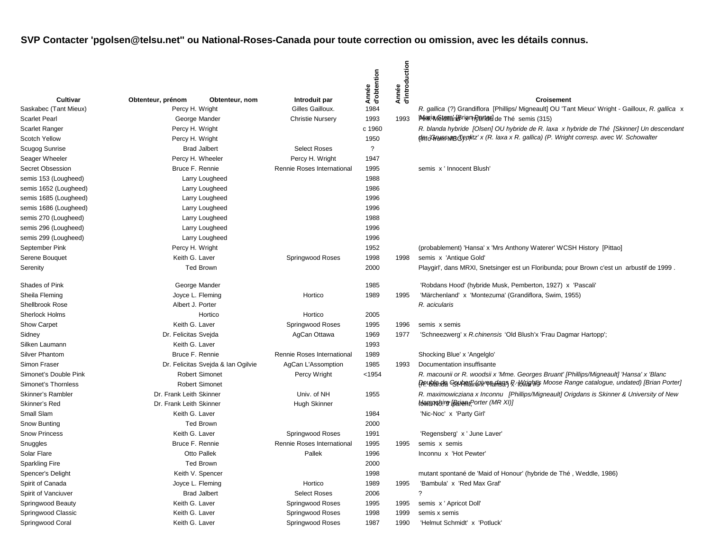|                        |                         |                                    |                            | Année<br>d'obtention | d'introduction<br>Année |                                                                                                  |
|------------------------|-------------------------|------------------------------------|----------------------------|----------------------|-------------------------|--------------------------------------------------------------------------------------------------|
| Cultivar               | Obtenteur, prénom       | Obtenteur, nom                     | Introduit par              |                      |                         | <b>Croisement</b>                                                                                |
| Saskabec (Tant Mieux)  | Percy H. Wright         |                                    | Gilles Gailloux.           | 1984                 |                         | R. gallica (?) Grandiflora [Phillips/ Migneault] OU 'Tant Mieux' Wright - Gailloux, R. gallica x |
| <b>Scarlet Pearl</b>   |                         | George Mander                      | <b>Christie Nursery</b>    | 1993                 | 1993                    | <b>Maria Asteria HB rightRefled de Thé semis (315)</b>                                           |
| <b>Scarlet Ranger</b>  | Percy H. Wright         |                                    |                            | c 1960               |                         | R. blanda hybride [Olsen] OU hybride de R. laxa x hybride de Thé [Skinner] Un descendant         |
| <b>Scotch Yellow</b>   | Percy H. Wright         |                                    |                            | 1950                 |                         | deto'GrowsmandTeplitz' x (R. laxa x R. gallica) (P. Wright corresp. avec W. Schowalter           |
| Scugog Sunrise         |                         | <b>Brad Jalbert</b>                | <b>Select Roses</b>        | $\overline{?}$       |                         |                                                                                                  |
| Seager Wheeler         |                         | Percy H. Wheeler                   | Percy H. Wright            | 1947                 |                         |                                                                                                  |
| Secret Obsession       | Bruce F. Rennie         |                                    | Rennie Roses International | 1995                 |                         | semis x ' Innocent Blush'                                                                        |
| semis 153 (Lougheed)   |                         | Larry Lougheed                     |                            | 1988                 |                         |                                                                                                  |
| semis 1652 (Lougheed)  |                         | Larry Lougheed                     |                            | 1986                 |                         |                                                                                                  |
| semis 1685 (Lougheed)  |                         | Larry Lougheed                     |                            | 1996                 |                         |                                                                                                  |
| semis 1686 (Lougheed)  |                         | Larry Lougheed                     |                            | 1996                 |                         |                                                                                                  |
| semis 270 (Lougheed)   |                         | Larry Lougheed                     |                            | 1988                 |                         |                                                                                                  |
| semis 296 (Lougheed)   |                         | Larry Lougheed                     |                            | 1996                 |                         |                                                                                                  |
| semis 299 (Lougheed)   |                         | Larry Lougheed                     |                            | 1996                 |                         |                                                                                                  |
| September Pink         | Percy H. Wright         |                                    |                            | 1952                 |                         | (probablement) 'Hansa' x 'Mrs Anthony Waterer' WCSH History [Pittao]                             |
| Serene Bouquet         | Keith G. Laver          |                                    | Springwood Roses           | 1998                 | 1998                    | semis x 'Antique Gold'                                                                           |
| Serenity               |                         | <b>Ted Brown</b>                   |                            | 2000                 |                         | Playgirl', dans MRXI, Snetsinger est un Floribunda; pour Brown c'est un arbustif de 1999.        |
| Shades of Pink         | George Mander           |                                    |                            | 1985                 |                         | 'Robdans Hood' (hybride Musk, Pemberton, 1927) x 'Pascali'                                       |
| Sheila Fleming         | Joyce L. Fleming        |                                    | Hortico                    | 1989                 | 1995                    | 'Märchenland' x 'Montezuma' (Grandiflora, Swim, 1955)                                            |
| <b>Shellbrook Rose</b> | Albert J. Porter        |                                    |                            |                      |                         | R. acicularis                                                                                    |
| Sherlock Holms         | Hortico                 |                                    | Hortico                    | 2005                 |                         |                                                                                                  |
| Show Carpet            | Keith G. Laver          |                                    | Springwood Roses           | 1995                 | 1996                    | semis x semis                                                                                    |
| Sidney                 | Dr. Felicitas Svejda    |                                    | AgCan Ottawa               | 1969                 | 1977                    | 'Schneezwerg' x R.chinensis 'Old Blush'x 'Frau Dagmar Hartopp';                                  |
| Silken Laumann         | Keith G. Laver          |                                    |                            | 1993                 |                         |                                                                                                  |
| <b>Silver Phantom</b>  | Bruce F. Rennie         |                                    | Rennie Roses International | 1989                 |                         | Shocking Blue' x 'Angelglo'                                                                      |
| Simon Fraser           |                         | Dr. Felicitas Svejda & Ian Ogilvie | AgCan L'Assomption         | 1985                 | 1993                    | Documentation insuffisante                                                                       |
| Simonet's Double Pink  |                         | <b>Robert Simonet</b>              | Percy Wright               | $<$ 1954             |                         | R. macounii or R. woodsii x 'Mme. Georges Bruant' [Phillips/Migneault] 'Hansa' x 'Blanc          |
| Simonet's Thornless    |                         | <b>Robert Simonet</b>              |                            |                      |                         | Peublanda Gouharat Gowenadan R. In Wights Moose Range catalogue, undated) [Brian Porter]         |
| Skinner's Rambler      | Dr. Frank Leith Skinner |                                    | Univ. of NH                | 1955                 |                         | R. maximowicziana x Inconnu [Phillips/Migneault] Origdans is Skinner & University of New         |
| Skinner's Red          | Dr. Frank Leith Skinner |                                    | <b>Hugh Skinner</b>        |                      |                         | Haramsbirg Barant Porter (MR XI)]                                                                |
| Small Slam             | Keith G. Laver          |                                    |                            | 1984                 |                         | 'Nic-Noc' x 'Party Girl'                                                                         |
| Snow Bunting           |                         | <b>Ted Brown</b>                   |                            | 2000                 |                         |                                                                                                  |
| <b>Snow Princess</b>   | Keith G. Laver          |                                    | Springwood Roses           | 1991                 |                         | 'Regensberg' x ' June Laver'                                                                     |
| Snuggles               | Bruce F. Rennie         |                                    | Rennie Roses International | 1995                 | 1995                    | semis x semis                                                                                    |
| Solar Flare            |                         | Otto Pallek                        | Pallek                     | 1996                 |                         | Inconnu x 'Hot Pewter'                                                                           |
| Sparkling Fire         |                         | <b>Ted Brown</b>                   |                            | 2000                 |                         |                                                                                                  |
| Spencer's Delight      | Keith V. Spencer        |                                    |                            | 1998                 |                         | mutant spontané de 'Maid of Honour' (hybride de Thé, Weddle, 1986)                               |
| Spirit of Canada       | Joyce L. Fleming        |                                    | Hortico                    | 1989                 | 1995                    | 'Bambula' x 'Red Max Graf'                                                                       |
| Spirit of Vanciuver    |                         | <b>Brad Jalbert</b>                | <b>Select Roses</b>        | 2006                 |                         | ?                                                                                                |
| Springwood Beauty      | Keith G. Laver          |                                    | Springwood Roses           | 1995                 | 1995                    | semis x ' Apricot Doll'                                                                          |
| Springwood Classic     | Keith G. Laver          |                                    | Springwood Roses           | 1998                 | 1999                    | semis x semis                                                                                    |
| Springwood Coral       | Keith G. Laver          |                                    | Springwood Roses           | 1987                 | 1990                    | 'Helmut Schmidt' x 'Potluck'                                                                     |
|                        |                         |                                    |                            |                      |                         |                                                                                                  |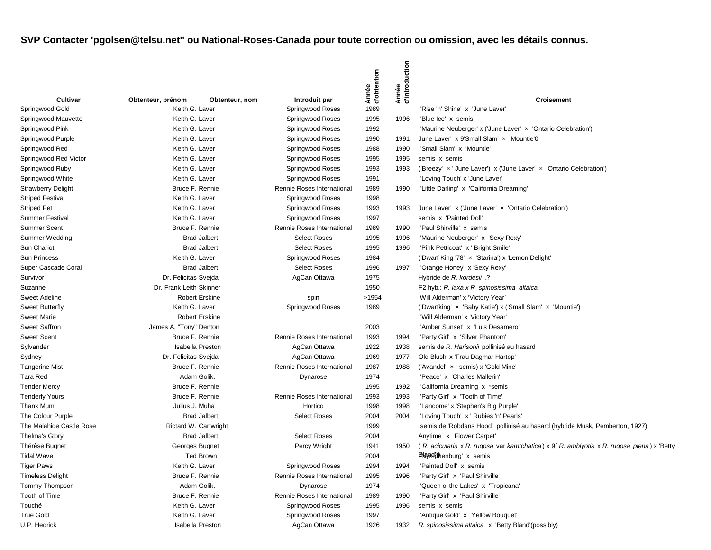|                           |                                   |                         |                            | Année<br>d'obtention | Année<br>d'introduction |                                                                                          |
|---------------------------|-----------------------------------|-------------------------|----------------------------|----------------------|-------------------------|------------------------------------------------------------------------------------------|
| <b>Cultivar</b>           | Obtenteur, prénom                 | Obtenteur, nom          | Introduit par              |                      |                         | <b>Croisement</b>                                                                        |
| Springwood Gold           | Keith G. Laver<br>Keith G. Laver  |                         | Springwood Roses           | 1989                 |                         | 'Rise 'n' Shine' x 'June Laver'                                                          |
| Springwood Mauvette       | Keith G. Laver                    |                         | Springwood Roses           | 1995<br>1992         | 1996                    | 'Blue Ice' x semis                                                                       |
| Springwood Pink           |                                   |                         | Springwood Roses           |                      |                         | 'Maurine Neuberger' x ('June Laver' x 'Ontario Celebration')                             |
| Springwood Purple         | Keith G. Laver                    |                         | Springwood Roses           | 1990                 | 1991                    | June Laver' x 9'Small Slam' x 'Mountie'0<br>'Small Slam' x 'Mountie'                     |
| Springwood Red            | Keith G. Laver<br>Keith G. Laver  |                         | Springwood Roses           | 1988                 | 1990                    | semis x semis                                                                            |
| Springwood Red Victor     | Keith G. Laver                    |                         | Springwood Roses           | 1995                 | 1995                    |                                                                                          |
| Springwood Ruby           |                                   |                         | Springwood Roses           | 1993                 | 1993                    | ('Breezy' x ' June Laver') x ('June Laver' x 'Ontario Celebration')                      |
| Springwood White          | Keith G. Laver<br>Bruce F. Rennie |                         | Springwood Roses           | 1991                 |                         | 'Loving Touch' x 'June Laver'                                                            |
| <b>Strawberry Delight</b> |                                   |                         | Rennie Roses International | 1989                 | 1990                    | 'Little Darling' x 'California Dreaming'                                                 |
| <b>Striped Festival</b>   | Keith G. Laver                    |                         | Springwood Roses           | 1998                 |                         |                                                                                          |
| <b>Striped Pet</b>        | Keith G. Laver                    |                         | Springwood Roses           | 1993                 | 1993                    | June Laver' x ('June Laver' x 'Ontario Celebration')                                     |
| <b>Summer Festival</b>    | Keith G. Laver                    |                         | Springwood Roses           | 1997                 |                         | semis x 'Painted Doll'                                                                   |
| <b>Summer Scent</b>       | Bruce F. Rennie                   |                         | Rennie Roses International | 1989                 | 1990                    | 'Paul Shirville' x semis                                                                 |
| Summer Wedding            |                                   | <b>Brad Jalbert</b>     | <b>Select Roses</b>        | 1995                 | 1996                    | 'Maurine Neuberger' x 'Sexy Rexy'                                                        |
| Sun Chariot               |                                   | <b>Brad Jalbert</b>     | <b>Select Roses</b>        | 1995                 | 1996                    | 'Pink Petticoat' x ' Bright Smile'                                                       |
| <b>Sun Princess</b>       | Keith G. Laver                    |                         | Springwood Roses           | 1984                 |                         | ('Dwarf King '78' x 'Starina') x 'Lemon Delight'                                         |
| Super Cascade Coral       |                                   | <b>Brad Jalbert</b>     | <b>Select Roses</b>        | 1996                 | 1997                    | 'Orange Honey' x 'Sexy Rexy'                                                             |
| Survivor                  | Dr. Felicitas Svejda              |                         | AgCan Ottawa               | 1975                 |                         | Hybride de R. kordesii .?                                                                |
| Suzanne                   | Dr. Frank Leith Skinner           |                         |                            | 1950                 |                         | F2 hyb.: R. laxa x R spinosissima altaica                                                |
| Sweet Adeline             |                                   | <b>Robert Erskine</b>   | spin                       | >1954                |                         | 'Will Alderman' x 'Victory Year'                                                         |
| <b>Sweet Butterfly</b>    | Keith G. Laver                    |                         | Springwood Roses           | 1989                 |                         | ('Dwarfking' x 'Baby Katie') x ('Small Slam' x 'Mountie')                                |
| <b>Sweet Marie</b>        |                                   | <b>Robert Erskine</b>   |                            |                      |                         | 'Will Alderman' x 'Victory Year'                                                         |
| <b>Sweet Saffron</b>      | James A. "Tony" Denton            |                         |                            | 2003                 |                         | 'Amber Sunset' x 'Luis Desamero'                                                         |
| <b>Sweet Scent</b>        | Bruce F. Rennie                   |                         | Rennie Roses International | 1993                 | 1994                    | 'Party Girl' x 'Silver Phantom'                                                          |
| Sylvander                 |                                   | <b>Isabella Preston</b> | AgCan Ottawa               | 1922                 | 1938                    | semis de R. Harisonii pollinisé au hasard                                                |
| Sydney                    | Dr. Felicitas Svejda              |                         | AgCan Ottawa               | 1969                 | 1977                    | Old Blush' x 'Frau Dagmar Hartop'                                                        |
| <b>Tangerine Mist</b>     | Bruce F. Rennie                   |                         | Rennie Roses International | 1987                 | 1988                    | ('Avandel' x semis) x 'Gold Mine'                                                        |
| Tara Red                  |                                   | Adam Golik.             | Dynarose                   | 1974                 |                         | 'Peace' x 'Charles Mallerin'                                                             |
| <b>Tender Mercy</b>       | Bruce F. Rennie                   |                         |                            | 1995                 | 1992                    | 'California Dreaming x *semis                                                            |
| <b>Tenderly Yours</b>     | Bruce F. Rennie                   |                         | Rennie Roses International | 1993                 | 1993                    | 'Party Girl' x 'Tooth of Time'                                                           |
| Thanx Mum                 | Julius J. Muha                    |                         | Hortico                    | 1998                 | 1998                    | 'Lancome' x 'Stephen's Big Purple'                                                       |
| The Colour Purple         |                                   | <b>Brad Jalbert</b>     | <b>Select Roses</b>        | 2004                 | 2004                    | 'Loving Touch' x ' Rubies 'n' Pearls'                                                    |
| The Malahide Castle Rose  |                                   | Rictard W. Cartwright   |                            | 1999                 |                         | semis de 'Robdans Hood' pollinisé au hasard (hybride Musk, Pemberton, 1927)              |
| <b>Thelma's Glory</b>     |                                   | <b>Brad Jalbert</b>     | <b>Select Roses</b>        | 2004                 |                         | Anytime' x 'Flower Carpet'                                                               |
| Thérèse Bugnet            | Georges Bugnet                    |                         | Percy Wright               | 1941                 | 1950                    | (R. acicularis x R. rugosa var kamtchatica) x 9(R. amblyotis x R. rugosa plena) x 'Betty |
| <b>Tidal Wave</b>         |                                   | <b>Ted Brown</b>        |                            | 2004                 |                         | <b>ENay Highenburg'</b> x semis                                                          |
| <b>Tiger Paws</b>         | Keith G. Laver                    |                         | Springwood Roses           | 1994                 | 1994                    | 'Painted Doll' x semis                                                                   |
| <b>Timeless Delight</b>   | Bruce F. Rennie                   |                         | Rennie Roses International | 1995                 | 1996                    | 'Party Girl' x 'Paul Shirville'                                                          |
| Tommy Thompson            |                                   | Adam Golik.             | Dynarose                   | 1974                 |                         | 'Queen o' the Lakes' x 'Tropicana'                                                       |
| Tooth of Time             | Bruce F. Rennie                   |                         | Rennie Roses International | 1989                 | 1990                    | 'Party Girl' x 'Paul Shirville'                                                          |
| Touché                    | Keith G. Laver                    |                         | Springwood Roses           | 1995                 | 1996                    | semis x semis                                                                            |
| <b>True Gold</b>          | Keith G. Laver                    |                         | Springwood Roses           | 1997                 |                         | 'Antique Gold' x 'Yellow Bouquet'                                                        |
| U.P. Hedrick              |                                   | Isabella Preston        | AgCan Ottawa               | 1926                 | 1932                    | R. spinosissima altaica x 'Betty Bland'(possibly)                                        |